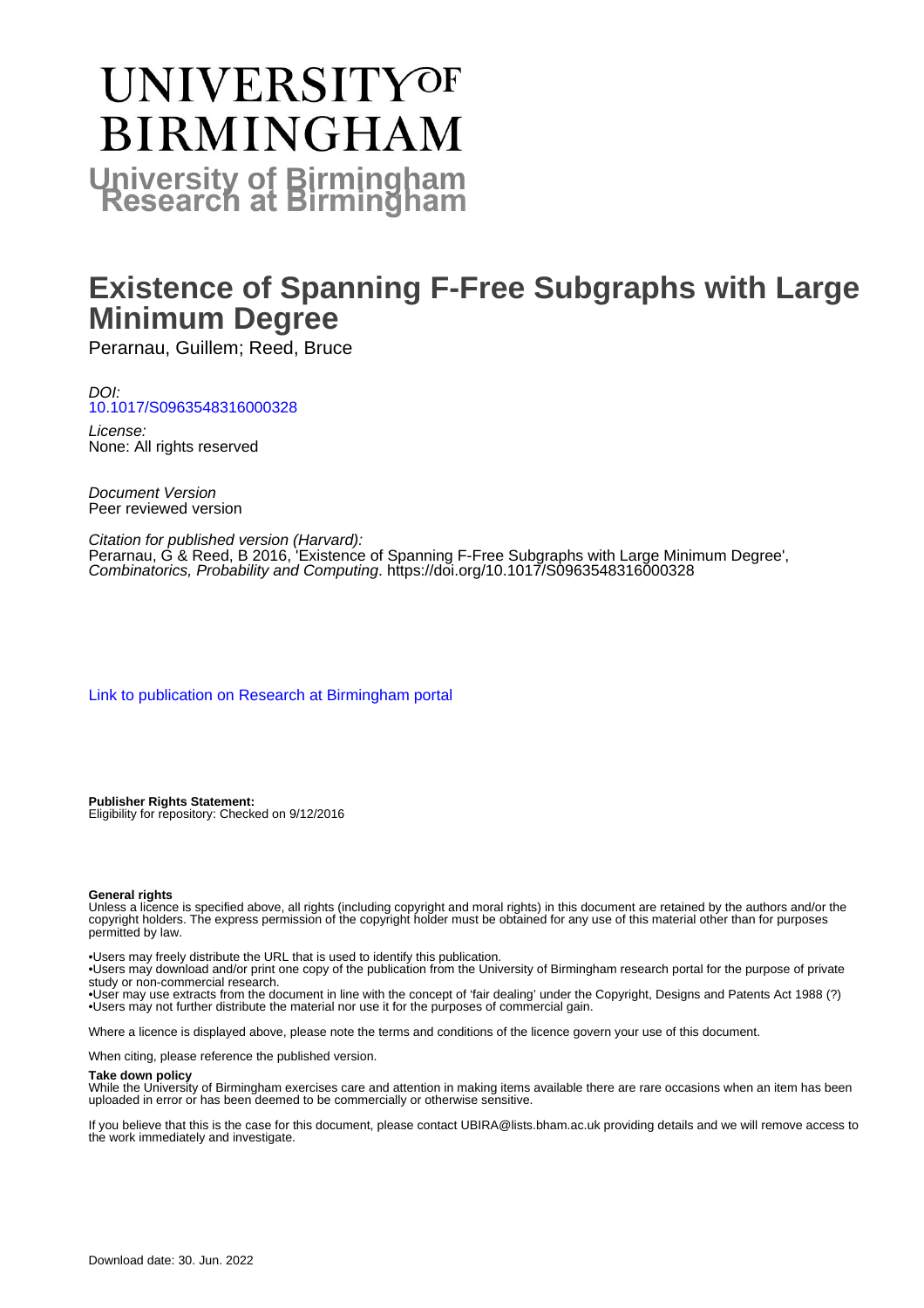# **UNIVERSITYOF BIRMINGHAM University of Birmingham**

## **Existence of Spanning F-Free Subgraphs with Large Minimum Degree**

Perarnau, Guillem; Reed, Bruce

DOI: [10.1017/S0963548316000328](https://doi.org/10.1017/S0963548316000328)

License: None: All rights reserved

Document Version Peer reviewed version

Citation for published version (Harvard): Perarnau, G & Reed, B 2016, 'Existence of Spanning F-Free Subgraphs with Large Minimum Degree', Combinatorics, Probability and Computing.<https://doi.org/10.1017/S0963548316000328>

[Link to publication on Research at Birmingham portal](https://birmingham.elsevierpure.com/en/publications/913632e8-93b6-4ad1-bfa8-f9cf9aa036fa)

**Publisher Rights Statement:** Eligibility for repository: Checked on 9/12/2016

#### **General rights**

Unless a licence is specified above, all rights (including copyright and moral rights) in this document are retained by the authors and/or the copyright holders. The express permission of the copyright holder must be obtained for any use of this material other than for purposes permitted by law.

• Users may freely distribute the URL that is used to identify this publication.

• Users may download and/or print one copy of the publication from the University of Birmingham research portal for the purpose of private study or non-commercial research.

• User may use extracts from the document in line with the concept of 'fair dealing' under the Copyright, Designs and Patents Act 1988 (?) • Users may not further distribute the material nor use it for the purposes of commercial gain.

Where a licence is displayed above, please note the terms and conditions of the licence govern your use of this document.

When citing, please reference the published version.

#### **Take down policy**

While the University of Birmingham exercises care and attention in making items available there are rare occasions when an item has been uploaded in error or has been deemed to be commercially or otherwise sensitive.

If you believe that this is the case for this document, please contact UBIRA@lists.bham.ac.uk providing details and we will remove access to the work immediately and investigate.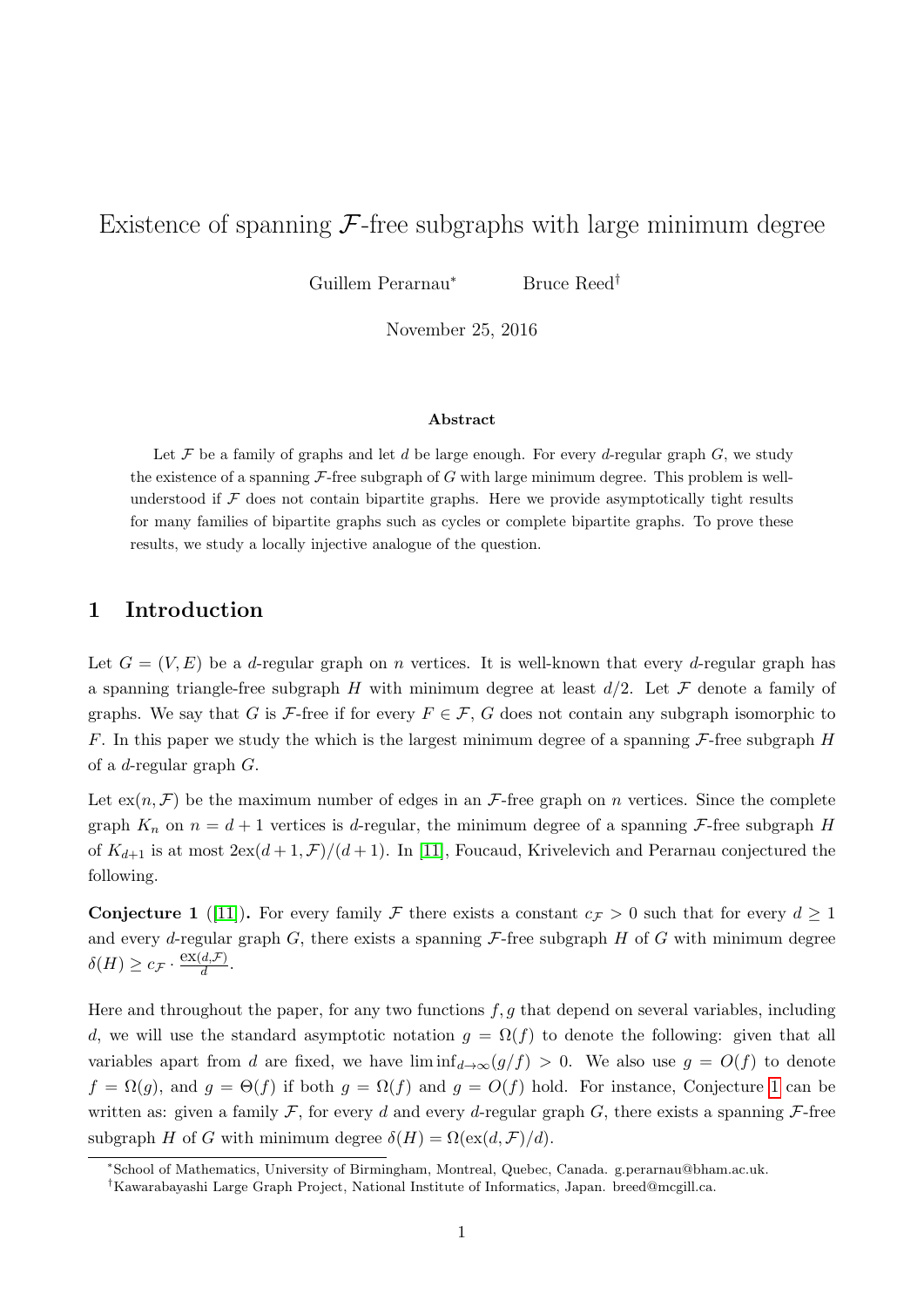### Existence of spanning  $\mathcal F$ -free subgraphs with large minimum degree

Guillem Perarnau<sup>∗</sup> Bruce Reed†

November 25, 2016

#### Abstract

Let  $\mathcal F$  be a family of graphs and let  $d$  be large enough. For every  $d$ -regular graph  $G$ , we study the existence of a spanning  $\mathcal{F}\text{-free subgraph of } G$  with large minimum degree. This problem is wellunderstood if  $F$  does not contain bipartite graphs. Here we provide asymptotically tight results for many families of bipartite graphs such as cycles or complete bipartite graphs. To prove these results, we study a locally injective analogue of the question.

#### 1 Introduction

Let  $G = (V, E)$  be a d-regular graph on n vertices. It is well-known that every d-regular graph has a spanning triangle-free subgraph H with minimum degree at least  $d/2$ . Let F denote a family of graphs. We say that G is F-free if for every  $F \in \mathcal{F}$ , G does not contain any subgraph isomorphic to F. In this paper we study the which is the largest minimum degree of a spanning  $\mathcal{F}\text{-free}$  subgraph H of a d-regular graph G.

Let  $ex(n, \mathcal{F})$  be the maximum number of edges in an  $\mathcal{F}$ -free graph on n vertices. Since the complete graph  $K_n$  on  $n = d + 1$  vertices is d-regular, the minimum degree of a spanning F-free subgraph H of  $K_{d+1}$  is at most  $2ex(d+1,\mathcal{F})/(d+1)$ . In [\[11\]](#page-21-0), Foucaud, Krivelevich and Perarnau conjectured the following.

<span id="page-1-0"></span>**Conjecture 1** ([\[11\]](#page-21-0)). For every family F there exists a constant  $c_F > 0$  such that for every  $d > 1$ and every d-regular graph  $G$ , there exists a spanning  $\mathcal F$ -free subgraph  $H$  of  $G$  with minimum degree  $\delta(H) \geq c_{\mathcal{F}} \cdot \frac{\operatorname{ex}(d, \mathcal{F})}{d}$  $\frac{a, r}{d}$ .

Here and throughout the paper, for any two functions  $f, g$  that depend on several variables, including d, we will use the standard asymptotic notation  $g = \Omega(f)$  to denote the following: given that all variables apart from d are fixed, we have  $\liminf_{d\to\infty}(g/f) > 0$ . We also use  $g = O(f)$  to denote  $f = \Omega(g)$ , and  $g = \Theta(f)$  if both  $g = \Omega(f)$  and  $g = O(f)$  hold. For instance, Conjecture [1](#page-1-0) can be written as: given a family  $\mathcal F$ , for every d and every d-regular graph G, there exists a spanning  $\mathcal F$ -free subgraph H of G with minimum degree  $\delta(H) = \Omega(\text{ex}(d, \mathcal{F})/d)$ .

<sup>∗</sup>School of Mathematics, University of Birmingham, Montreal, Quebec, Canada. g.perarnau@bham.ac.uk.

<sup>†</sup>Kawarabayashi Large Graph Project, National Institute of Informatics, Japan. breed@mcgill.ca.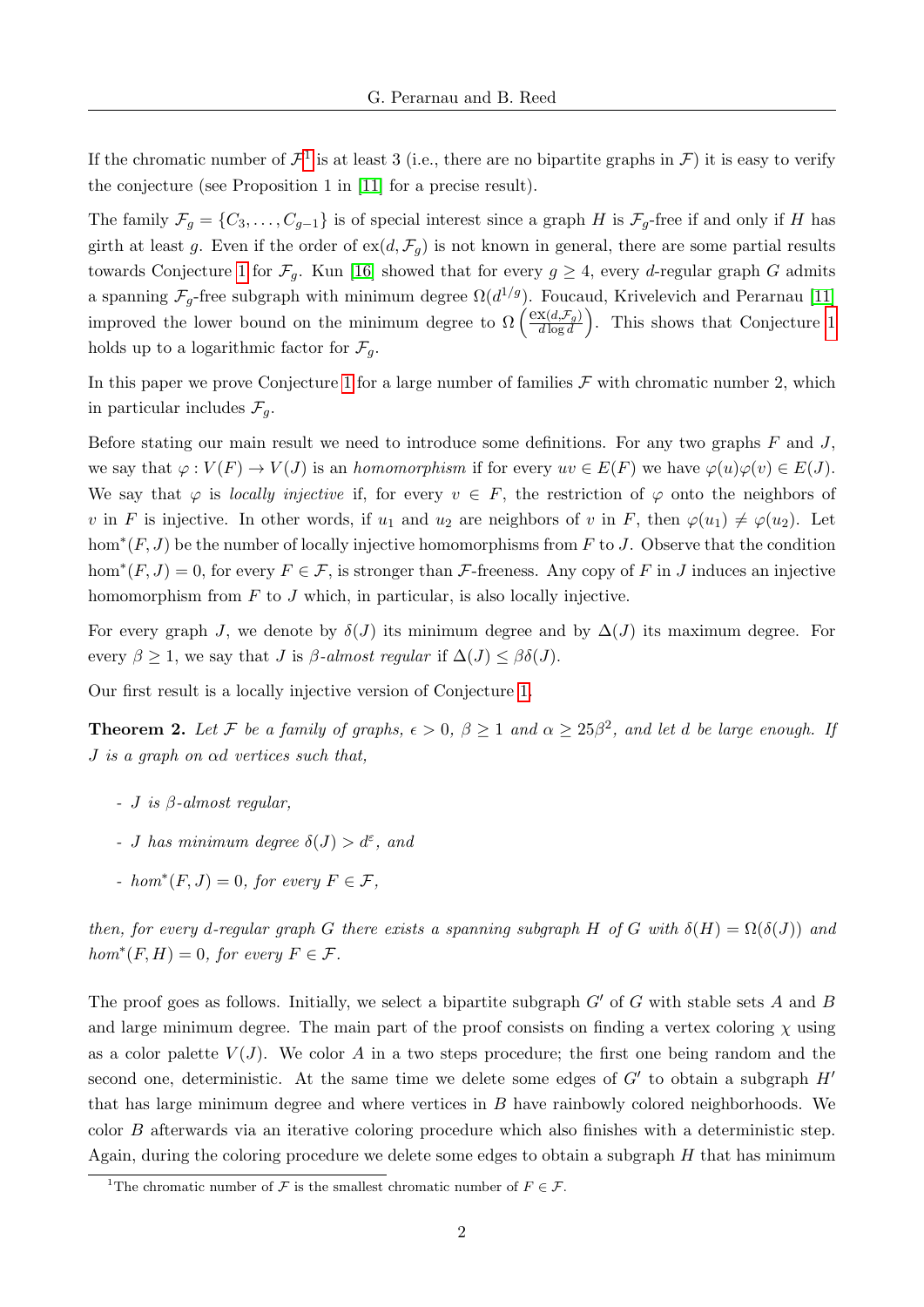If the chromatic number of  $\mathcal{F}^1$  $\mathcal{F}^1$  is at least 3 (i.e., there are no bipartite graphs in  $\mathcal{F}$ ) it is easy to verify the conjecture (see Proposition 1 in [\[11\]](#page-21-0) for a precise result).

The family  $\mathcal{F}_g = \{C_3, \ldots, C_{g-1}\}\$ is of special interest since a graph H is  $\mathcal{F}_g$ -free if and only if H has girth at least g. Even if the order of  $ex(d, \mathcal{F}_q)$  is not known in general, there are some partial results towards Conjecture [1](#page-1-0) for  $\mathcal{F}_q$ . Kun [\[16\]](#page-22-0) showed that for every  $g \geq 4$ , every d-regular graph G admits a spanning  $\mathcal{F}_g$ -free subgraph with minimum degree  $\Omega(d^{1/g})$ . Foucaud, Krivelevich and Perarnau [\[11\]](#page-21-0) improved the lower bound on the minimum degree to  $\Omega\left(\frac{\exp(d,\mathcal{F}_g)}{d\log d}\right)$  $\left(\frac{\mathbf{x}(d,\mathcal{F}_g)}{d \log d}\right)$ . This shows that Conjecture [1](#page-1-0) holds up to a logarithmic factor for  $\mathcal{F}_q$ .

In this paper we prove Conjecture [1](#page-1-0) for a large number of families  $\mathcal F$  with chromatic number 2, which in particular includes  $\mathcal{F}_q$ .

Before stating our main result we need to introduce some definitions. For any two graphs  $F$  and  $J$ , we say that  $\varphi: V(F) \to V(J)$  is an homomorphism if for every  $uv \in E(F)$  we have  $\varphi(u)\varphi(v) \in E(J)$ . We say that  $\varphi$  is locally injective if, for every  $v \in F$ , the restriction of  $\varphi$  onto the neighbors of v in F is injective. In other words, if  $u_1$  and  $u_2$  are neighbors of v in F, then  $\varphi(u_1) \neq \varphi(u_2)$ . Let hom<sup>\*</sup> $(F, J)$  be the number of locally injective homomorphisms from F to J. Observe that the condition hom<sup>\*</sup> $(F, J) = 0$ , for every  $F \in \mathcal{F}$ , is stronger than  $\mathcal{F}$ -freeness. Any copy of F in J induces an injective homomorphism from  $F$  to  $J$  which, in particular, is also locally injective.

For every graph J, we denote by  $\delta(J)$  its minimum degree and by  $\Delta(J)$  its maximum degree. For every  $\beta \geq 1$ , we say that J is  $\beta$ -almost regular if  $\Delta(J) \leq \beta \delta(J)$ .

Our first result is a locally injective version of Conjecture [1.](#page-1-0)

<span id="page-2-1"></span>**Theorem 2.** Let F be a family of graphs,  $\epsilon > 0$ ,  $\beta \ge 1$  and  $\alpha \ge 25\beta^2$ , and let d be large enough. If  $J$  is a graph on  $\alpha d$  vertices such that,

- $-J$  is  $\beta$ -almost regular,
- J has minimum degree  $\delta(J) > d^{\varepsilon}$ , and
- hom<sup>\*</sup> $(F, J) = 0$ , for every  $F \in \mathcal{F}$ ,

then, for every d-regular graph G there exists a spanning subgraph H of G with  $\delta(H) = \Omega(\delta(J))$  and  $hom^*(F, H) = 0$ , for every  $F \in \mathcal{F}$ .

The proof goes as follows. Initially, we select a bipartite subgraph  $G'$  of G with stable sets A and B and large minimum degree. The main part of the proof consists on finding a vertex coloring  $\chi$  using as a color palette  $V(J)$ . We color A in a two steps procedure; the first one being random and the second one, deterministic. At the same time we delete some edges of  $G'$  to obtain a subgraph  $H'$ that has large minimum degree and where vertices in B have rainbowly colored neighborhoods. We color B afterwards via an iterative coloring procedure which also finishes with a deterministic step. Again, during the coloring procedure we delete some edges to obtain a subgraph  $H$  that has minimum

<span id="page-2-0"></span><sup>&</sup>lt;sup>1</sup>The chromatic number of  $\mathcal F$  is the smallest chromatic number of  $F \in \mathcal F$ .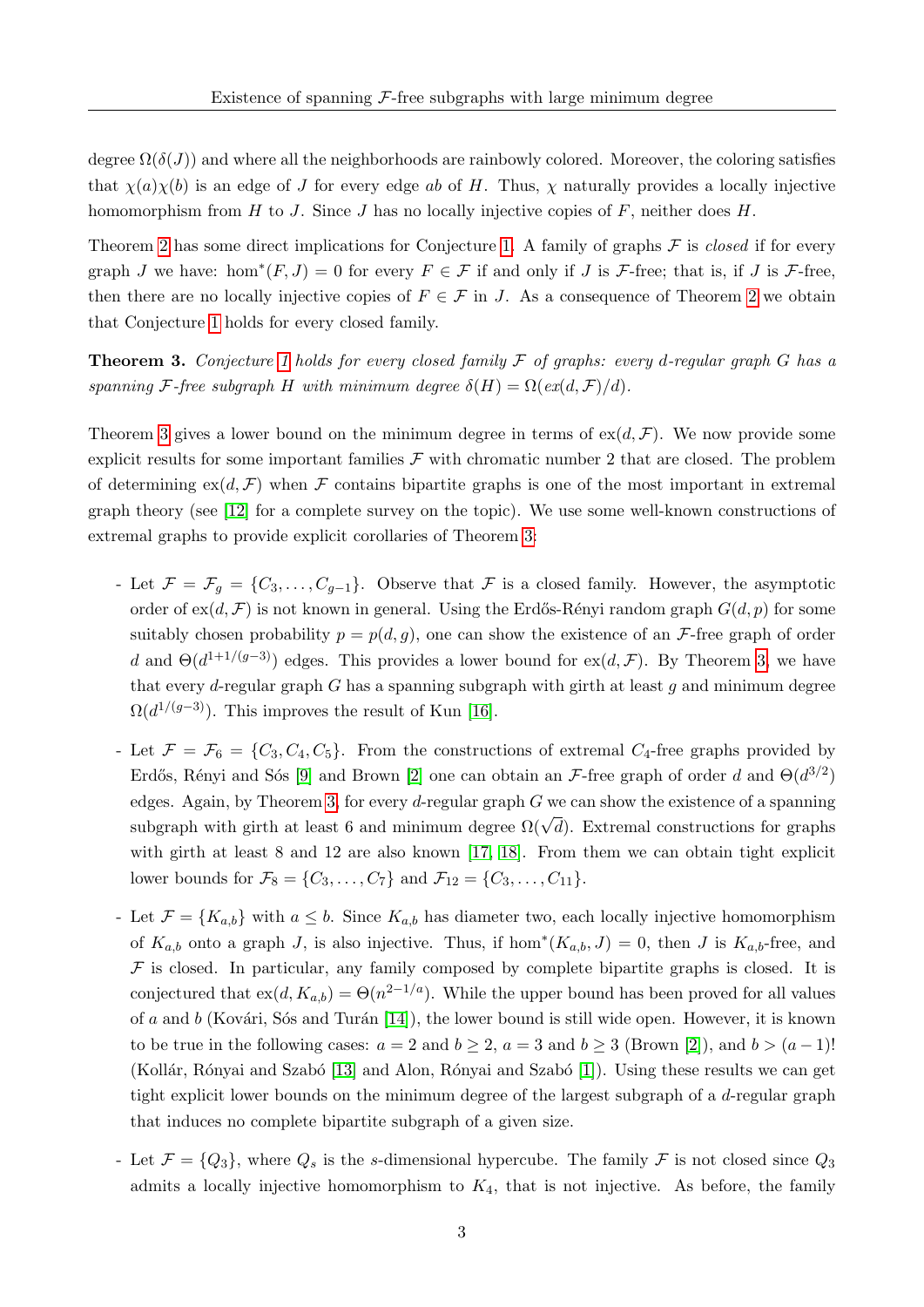degree  $\Omega(\delta(J))$  and where all the neighborhoods are rainbowly colored. Moreover, the coloring satisfies that  $\chi(a)\chi(b)$  is an edge of J for every edge ab of H. Thus,  $\chi$  naturally provides a locally injective homomorphism from H to J. Since J has no locally injective copies of  $F$ , neither does  $H$ .

Theorem [2](#page-2-1) has some direct implications for Conjecture [1.](#page-1-0) A family of graphs  $\mathcal F$  is *closed* if for every graph J we have: hom<sup>\*</sup> $(F, J) = 0$  for every  $F \in \mathcal{F}$  if and only if J is  $\mathcal{F}$ -free; that is, if J is  $\mathcal{F}$ -free, then there are no locally injective copies of  $F \in \mathcal{F}$  in J. As a consequence of Theorem [2](#page-2-1) we obtain that Conjecture [1](#page-1-0) holds for every closed family.

<span id="page-3-0"></span>**Theorem 3.** Conjecture [1](#page-1-0) holds for every closed family  $\mathcal F$  of graphs: every d-regular graph G has a spanning F-free subgraph H with minimum degree  $\delta(H) = \Omega(\epsilon x(d, \mathcal{F})/d)$ .

Theorem [3](#page-3-0) gives a lower bound on the minimum degree in terms of  $ex(d, \mathcal{F})$ . We now provide some explicit results for some important families  $\mathcal F$  with chromatic number 2 that are closed. The problem of determining  $ex(d, \mathcal{F})$  when F contains bipartite graphs is one of the most important in extremal graph theory (see [\[12\]](#page-21-1) for a complete survey on the topic). We use some well-known constructions of extremal graphs to provide explicit corollaries of Theorem [3:](#page-3-0)

- Let  $\mathcal{F} = \mathcal{F}_q = \{C_3, \ldots, C_{q-1}\}.$  Observe that  $\mathcal F$  is a closed family. However, the asymptotic order of  $ex(d, \mathcal{F})$  is not known in general. Using the Erdős-Rényi random graph  $G(d, p)$  for some suitably chosen probability  $p = p(d, q)$ , one can show the existence of an F-free graph of order d and  $\Theta(d^{1+1/(g-3)})$  edges. This provides a lower bound for ex(d, F). By Theorem [3,](#page-3-0) we have that every d-regular graph  $G$  has a spanning subgraph with girth at least  $g$  and minimum degree  $\Omega(d^{1/(g-3)})$ . This improves the result of Kun [\[16\]](#page-22-0).
- Let  $\mathcal{F} = \mathcal{F}_6 = \{C_3, C_4, C_5\}$ . From the constructions of extremal  $C_4$ -free graphs provided by Erdős, Rényi and Sós [\[9\]](#page-21-2) and Brown [\[2\]](#page-21-3) one can obtain an F-free graph of order d and  $\Theta(d^{3/2})$ edges. Again, by Theorem [3,](#page-3-0) for every d-regular graph  $G$  we can show the existence of a spanning subgraph with girth at least 6 and minimum degree  $\Omega(\sqrt{d})$ . Extremal constructions for graphs with girth at least 8 and 12 are also known [\[17,](#page-22-1) [18\]](#page-22-2). From them we can obtain tight explicit lower bounds for  $\mathcal{F}_8 = \{C_3, \ldots, C_7\}$  and  $\mathcal{F}_{12} = \{C_3, \ldots, C_{11}\}.$
- Let  $\mathcal{F} = \{K_{a,b}\}\$  with  $a \leq b$ . Since  $K_{a,b}$  has diameter two, each locally injective homomorphism of  $K_{a,b}$  onto a graph J, is also injective. Thus, if hom<sup>\*</sup> $(K_{a,b}, J) = 0$ , then J is  $K_{a,b}$ -free, and  $F$  is closed. In particular, any family composed by complete bipartite graphs is closed. It is conjectured that  $ex(d, K_{a,b}) = \Theta(n^{2-1/a})$ . While the upper bound has been proved for all values of a and b (Kovári, Sós and Turán [\[14\]](#page-21-4)), the lower bound is still wide open. However, it is known to be true in the following cases:  $a = 2$  and  $b \ge 2$ ,  $a = 3$  and  $b \ge 3$  (Brown [\[2\]](#page-21-3)), and  $b > (a - 1)!$ (Kollár, Rónyai and Szabó [\[13\]](#page-21-5) and Alon, Rónyai and Szabó [\[1\]](#page-21-6)). Using these results we can get tight explicit lower bounds on the minimum degree of the largest subgraph of a d-regular graph that induces no complete bipartite subgraph of a given size.
- Let  $\mathcal{F} = \{Q_3\}$ , where  $Q_s$  is the s-dimensional hypercube. The family  $\mathcal{F}$  is not closed since  $Q_3$ admits a locally injective homomorphism to  $K_4$ , that is not injective. As before, the family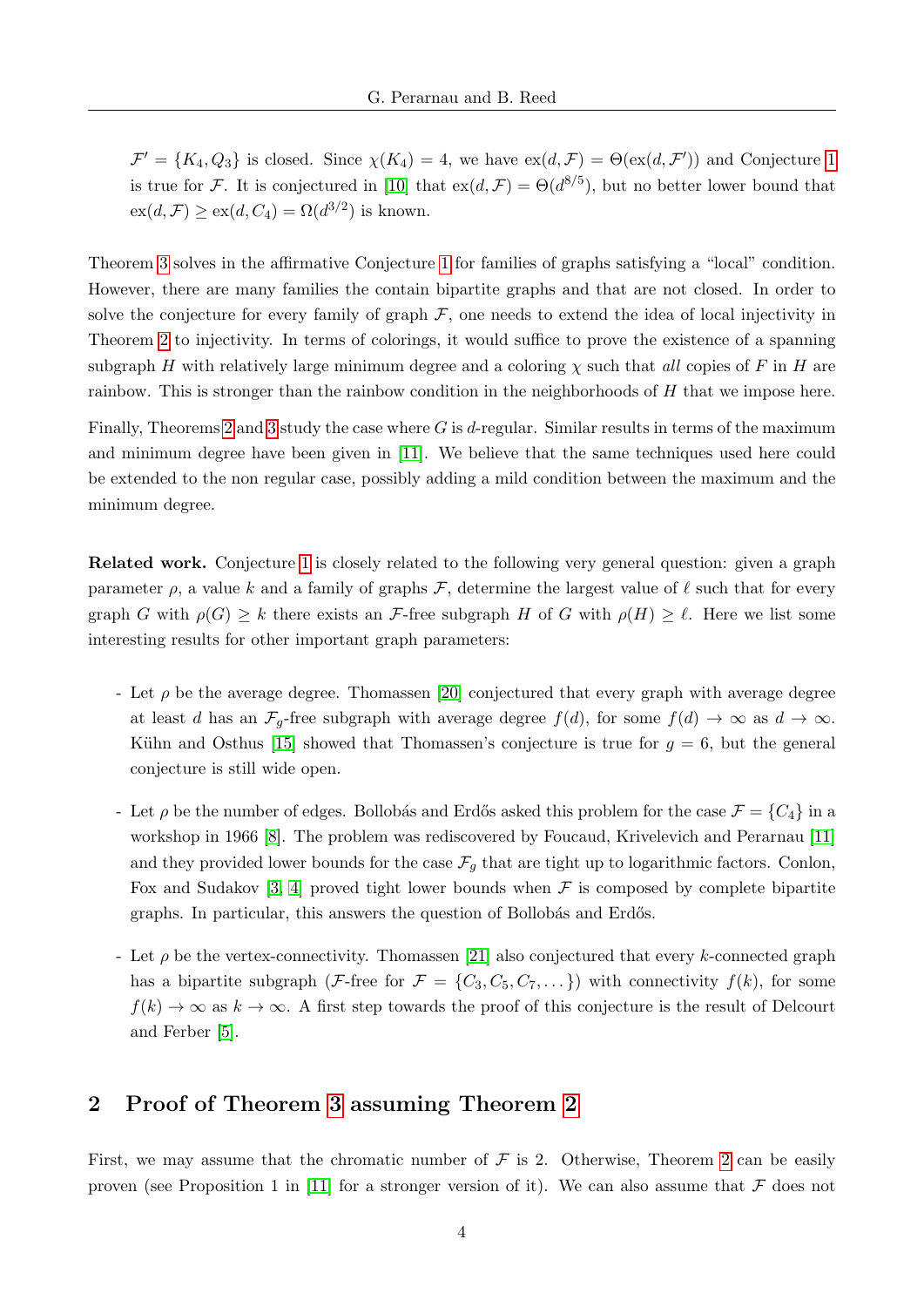$\mathcal{F}' = \{K_4, Q_3\}$  is closed. Since  $\chi(K_4) = 4$ , we have  $ex(d, \mathcal{F}) = \Theta(ex(d, \mathcal{F}'))$  and Conjecture [1](#page-1-0) is true for F. It is conjectured in [\[10\]](#page-21-7) that  $ex(d, \mathcal{F}) = \Theta(d^{8/5})$ , but no better lower bound that  $ex(d, \mathcal{F}) \ge ex(d, C_4) = \Omega(d^{3/2})$  is known.

Theorem [3](#page-3-0) solves in the affirmative Conjecture [1](#page-1-0) for families of graphs satisfying a "local" condition. However, there are many families the contain bipartite graphs and that are not closed. In order to solve the conjecture for every family of graph  $\mathcal F$ , one needs to extend the idea of local injectivity in Theorem [2](#page-2-1) to injectivity. In terms of colorings, it would suffice to prove the existence of a spanning subgraph H with relatively large minimum degree and a coloring  $\chi$  such that all copies of F in H are rainbow. This is stronger than the rainbow condition in the neighborhoods of H that we impose here.

Finally, Theorems [2](#page-2-1) and [3](#page-3-0) study the case where G is d-regular. Similar results in terms of the maximum and minimum degree have been given in [\[11\]](#page-21-0). We believe that the same techniques used here could be extended to the non regular case, possibly adding a mild condition between the maximum and the minimum degree.

Related work. Conjecture [1](#page-1-0) is closely related to the following very general question: given a graph parameter  $\rho$ , a value k and a family of graphs  $\mathcal{F}$ , determine the largest value of  $\ell$  such that for every graph G with  $\rho(G) \geq k$  there exists an F-free subgraph H of G with  $\rho(H) \geq \ell$ . Here we list some interesting results for other important graph parameters:

- Let  $\rho$  be the average degree. Thomassen [\[20\]](#page-22-3) conjectured that every graph with average degree at least d has an  $\mathcal{F}_g$ -free subgraph with average degree  $f(d)$ , for some  $f(d) \to \infty$  as  $d \to \infty$ . Kühn and Osthus [\[15\]](#page-22-4) showed that Thomassen's conjecture is true for  $g = 6$ , but the general conjecture is still wide open.
- Let  $\rho$  be the number of edges. Bollobás and Erdős asked this problem for the case  $\mathcal{F} = \{C_4\}$  in a workshop in 1966 [\[8\]](#page-21-8). The problem was rediscovered by Foucaud, Krivelevich and Perarnau [\[11\]](#page-21-0) and they provided lower bounds for the case  $\mathcal{F}_g$  that are tight up to logarithmic factors. Conlon, Fox and Sudakov [\[3,](#page-21-9) [4\]](#page-21-10) proved tight lower bounds when  $\mathcal F$  is composed by complete bipartite graphs. In particular, this answers the question of Bollobás and Erdős.
- Let  $\rho$  be the vertex-connectivity. Thomassen [\[21\]](#page-22-5) also conjectured that every k-connected graph has a bipartite subgraph (F-free for  $\mathcal{F} = \{C_3, C_5, C_7, \dots\}$ ) with connectivity  $f(k)$ , for some  $f(k) \to \infty$  as  $k \to \infty$ . A first step towards the proof of this conjecture is the result of Delcourt and Ferber [\[5\]](#page-21-11).

#### 2 Proof of Theorem [3](#page-3-0) assuming Theorem [2](#page-2-1)

First, we may assume that the chromatic number of  $\mathcal F$  is [2](#page-2-1). Otherwise, Theorem 2 can be easily proven (see Proposition 1 in [\[11\]](#page-21-0) for a stronger version of it). We can also assume that  $\mathcal F$  does not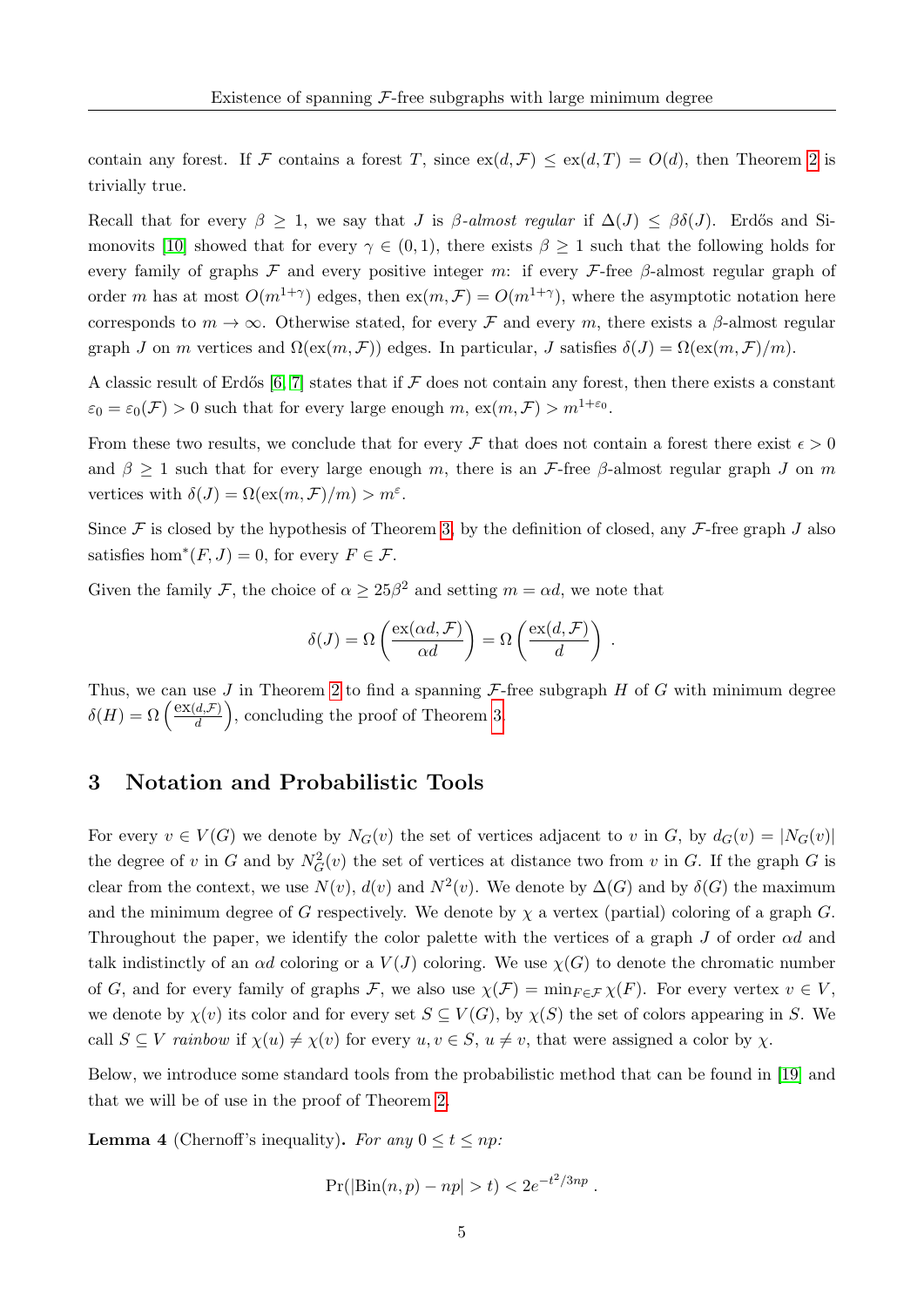contain any forest. If F contains a forest T, since  $ex(d, \mathcal{F}) \le ex(d, T) = O(d)$ , then Theorem [2](#page-2-1) is trivially true.

Recall that for every  $\beta \geq 1$ , we say that J is  $\beta$ -almost regular if  $\Delta(J) \leq \beta \delta(J)$ . Erdős and Si-monovits [\[10\]](#page-21-7) showed that for every  $\gamma \in (0,1)$ , there exists  $\beta \geq 1$  such that the following holds for every family of graphs F and every positive integer m: if every F-free  $\beta$ -almost regular graph of order m has at most  $O(m^{1+\gamma})$  edges, then  $ex(m,\mathcal{F})=O(m^{1+\gamma})$ , where the asymptotic notation here corresponds to  $m \to \infty$ . Otherwise stated, for every F and every m, there exists a  $\beta$ -almost regular graph J on m vertices and  $\Omega(\text{ex}(m, \mathcal{F}))$  edges. In particular, J satisfies  $\delta(J) = \Omega(\text{ex}(m, \mathcal{F})/m)$ .

A classic result of Erdős [\[6,](#page-21-12) [7\]](#page-21-13) states that if  $\mathcal F$  does not contain any forest, then there exists a constant  $\varepsilon_0 = \varepsilon_0(\mathcal{F}) > 0$  such that for every large enough  $m$ ,  $ex(m, \mathcal{F}) > m^{1+\varepsilon_0}$ .

From these two results, we conclude that for every  $\mathcal F$  that does not contain a forest there exist  $\epsilon > 0$ and  $\beta \geq 1$  such that for every large enough m, there is an *F*-free  $\beta$ -almost regular graph J on m vertices with  $\delta(J) = \Omega(\text{ex}(m, \mathcal{F})/m) > m^{\varepsilon}$ .

Since  $\mathcal F$  is closed by the hypothesis of Theorem [3,](#page-3-0) by the definition of closed, any  $\mathcal F$ -free graph J also satisfies hom<sup>\*</sup> $(F, J) = 0$ , for every  $F \in \mathcal{F}$ .

Given the family F, the choice of  $\alpha \geq 25\beta^2$  and setting  $m = \alpha d$ , we note that

$$
\delta(J) = \Omega\left(\frac{\text{ex}(\alpha d, \mathcal{F})}{\alpha d}\right) = \Omega\left(\frac{\text{ex}(d, \mathcal{F})}{d}\right) .
$$

Thus, we can use  $J$  in Theorem [2](#page-2-1) to find a spanning  $\mathcal{F}$ -free subgraph  $H$  of  $G$  with minimum degree  $\delta(H) = \Omega\left(\frac{\text{ex}(d,\mathcal{F})}{d}\right)$  $\left(\frac{d,\mathcal{F}}{d}\right)$ , concluding the proof of Theorem [3.](#page-3-0)

#### 3 Notation and Probabilistic Tools

For every  $v \in V(G)$  we denote by  $N_G(v)$  the set of vertices adjacent to v in G, by  $d_G(v) = |N_G(v)|$ the degree of v in G and by  $N_G^2(v)$  the set of vertices at distance two from v in G. If the graph G is clear from the context, we use  $N(v)$ ,  $d(v)$  and  $N^2(v)$ . We denote by  $\Delta(G)$  and by  $\delta(G)$  the maximum and the minimum degree of G respectively. We denote by  $\chi$  a vertex (partial) coloring of a graph G. Throughout the paper, we identify the color palette with the vertices of a graph J of order  $\alpha d$  and talk indistinctly of an  $\alpha d$  coloring or a  $V(J)$  coloring. We use  $\chi(G)$  to denote the chromatic number of G, and for every family of graphs F, we also use  $\chi(\mathcal{F}) = \min_{F \in \mathcal{F}} \chi(F)$ . For every vertex  $v \in V$ , we denote by  $\chi(v)$  its color and for every set  $S \subseteq V(G)$ , by  $\chi(S)$  the set of colors appearing in S. We call  $S \subseteq V$  rainbow if  $\chi(u) \neq \chi(v)$  for every  $u, v \in S$ ,  $u \neq v$ , that were assigned a color by  $\chi$ .

Below, we introduce some standard tools from the probabilistic method that can be found in [\[19\]](#page-22-6) and that we will be of use in the proof of Theorem [2.](#page-2-1)

**Lemma 4** (Chernoff's inequality). For any  $0 \le t \le np$ :

$$
Pr(|\text{Bin}(n, p) - np| > t) < 2e^{-t^2/3np}.
$$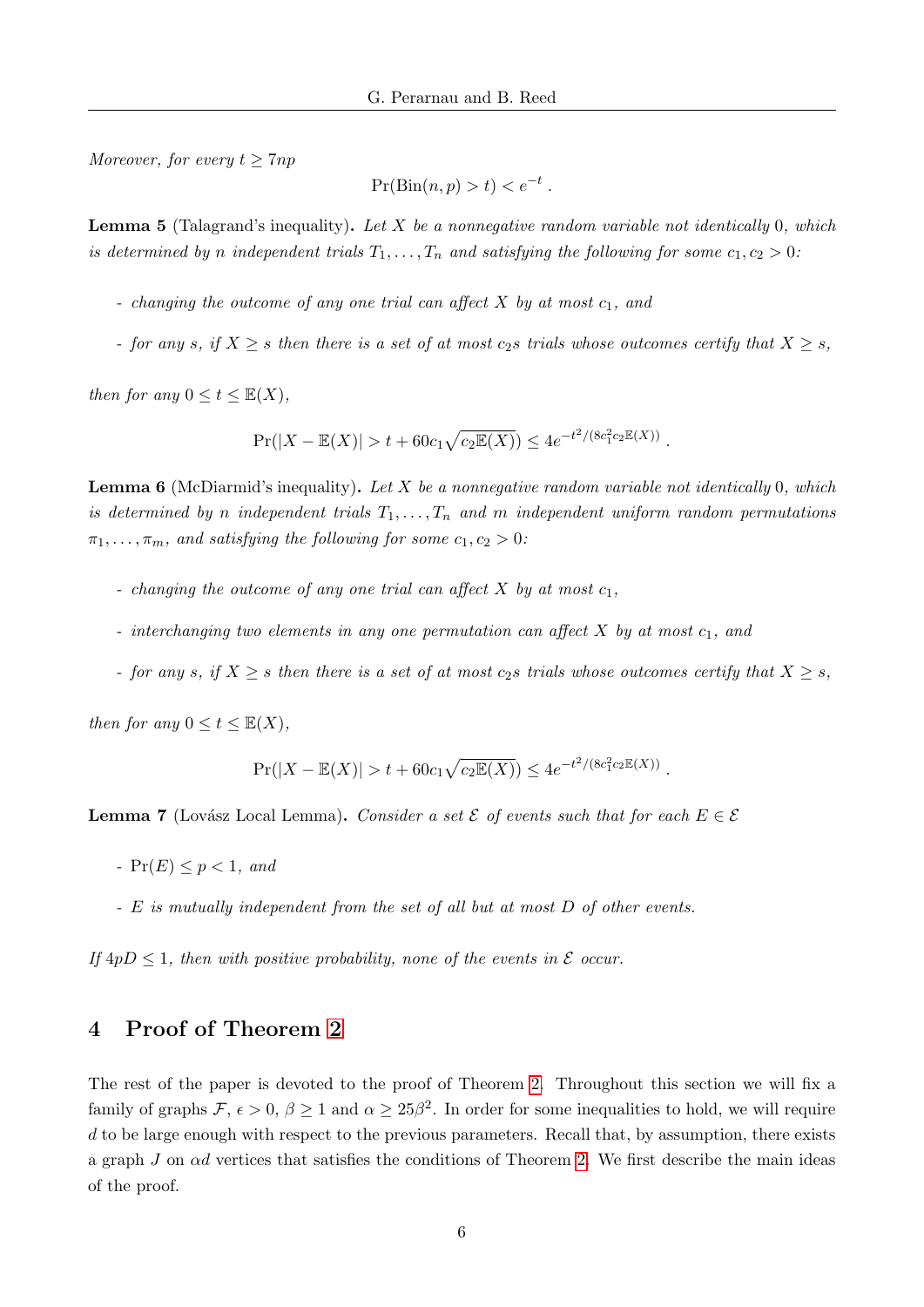Moreover, for every  $t \geq 7np$ 

$$
\Pr(\text{Bin}(n, p) > t) < e^{-t}
$$

.

**Lemma 5** (Talagrand's inequality). Let X be a nonnegative random variable not identically 0, which is determined by n independent trials  $T_1, \ldots, T_n$  and satisfying the following for some  $c_1, c_2 > 0$ :

- changing the outcome of any one trial can affect  $X$  by at most  $c_1$ , and
- for any s, if  $X \geq s$  then there is a set of at most  $c_2s$  trials whose outcomes certify that  $X \geq s$ ,

then for any  $0 \le t \le \mathbb{E}(X)$ ,

$$
\Pr(|X - \mathbb{E}(X)| > t + 60c_1\sqrt{c_2\mathbb{E}(X)}) \le 4e^{-t^2/(8c_1^2c_2\mathbb{E}(X))}.
$$

**Lemma 6** (McDiarmid's inequality). Let X be a nonnegative random variable not identically 0, which is determined by n independent trials  $T_1, \ldots, T_n$  and m independent uniform random permutations  $\pi_1, \ldots, \pi_m$ , and satisfying the following for some  $c_1, c_2 > 0$ :

- changing the outcome of any one trial can affect  $X$  by at most  $c_1$ ,
- interchanging two elements in any one permutation can affect  $X$  by at most  $c_1$ , and
- for any s, if  $X \geq s$  then there is a set of at most  $c_2s$  trials whose outcomes certify that  $X \geq s$ ,

then for any  $0 \le t \le \mathbb{E}(X)$ ,

$$
Pr(|X - \mathbb{E}(X)| > t + 60c_1\sqrt{c_2\mathbb{E}(X)}) \le 4e^{-t^2/(8c_1^2c_2\mathbb{E}(X))}.
$$

**Lemma 7** (Lovász Local Lemma). Consider a set  $\mathcal{E}$  of events such that for each  $E \in \mathcal{E}$ 

- $Pr(E) \leq p < 1$ , and
- E is mutually independent from the set of all but at most D of other events.

If  $4pD \leq 1$ , then with positive probability, none of the events in  $\mathcal E$  occur.

#### 4 Proof of Theorem [2](#page-2-1)

The rest of the paper is devoted to the proof of Theorem [2.](#page-2-1) Throughout this section we will fix a family of graphs  $\mathcal{F}, \epsilon > 0, \beta \ge 1$  and  $\alpha \ge 25\beta^2$ . In order for some inequalities to hold, we will require  $d$  to be large enough with respect to the previous parameters. Recall that, by assumption, there exists a graph  $J$  on  $\alpha d$  vertices that satisfies the conditions of Theorem [2.](#page-2-1) We first describe the main ideas of the proof.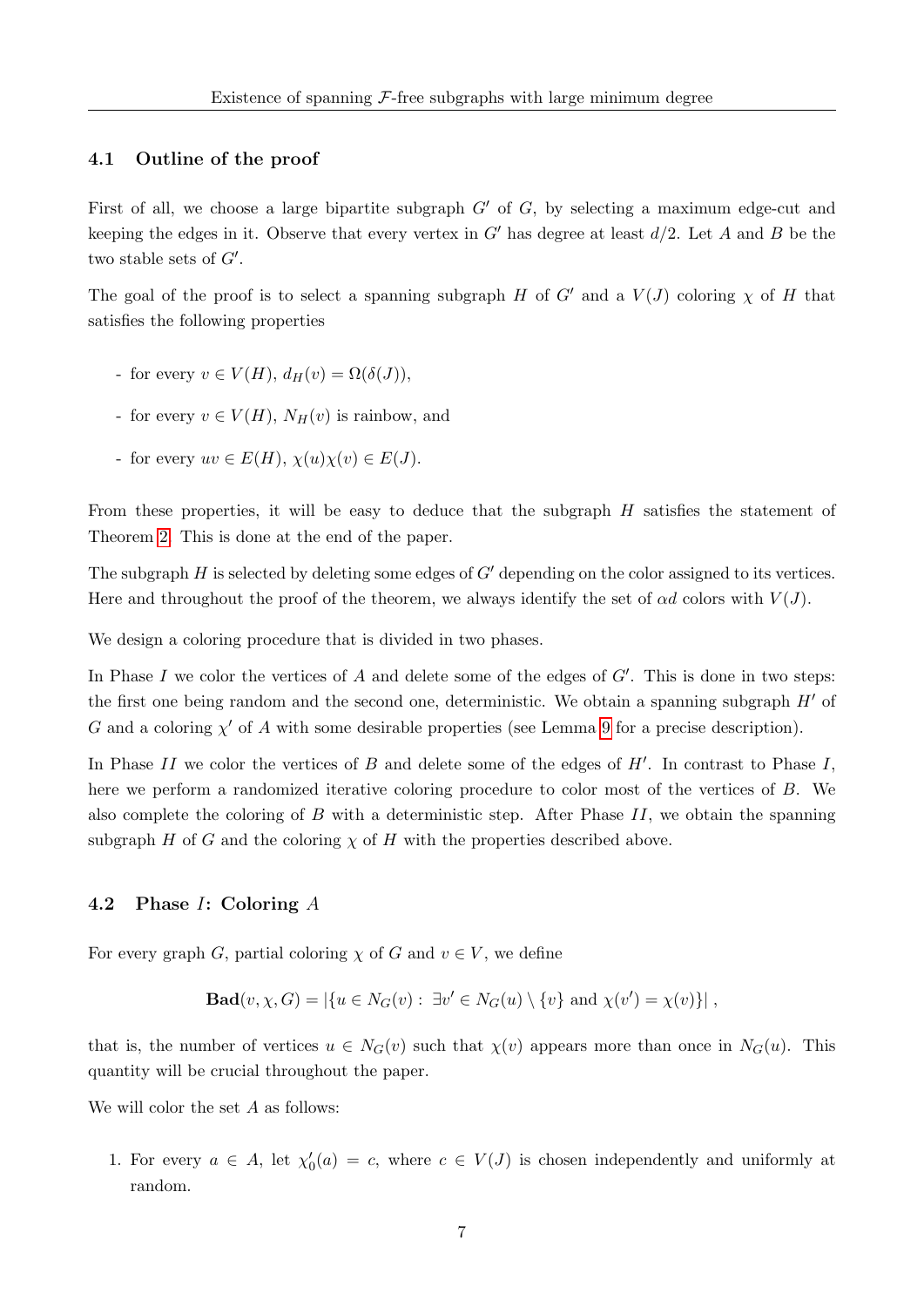#### 4.1 Outline of the proof

First of all, we choose a large bipartite subgraph  $G'$  of G, by selecting a maximum edge-cut and keeping the edges in it. Observe that every vertex in  $G'$  has degree at least  $d/2$ . Let A and B be the two stable sets of  $G'$ .

The goal of the proof is to select a spanning subgraph H of G' and a  $V(J)$  coloring  $\chi$  of H that satisfies the following properties

- for every  $v \in V(H)$ ,  $d_H(v) = \Omega(\delta(J))$ ,
- for every  $v \in V(H)$ ,  $N_H(v)$  is rainbow, and
- for every  $uv \in E(H)$ ,  $\chi(u)\chi(v) \in E(J)$ .

From these properties, it will be easy to deduce that the subgraph H satisfies the statement of Theorem [2.](#page-2-1) This is done at the end of the paper.

The subgraph  $H$  is selected by deleting some edges of  $G'$  depending on the color assigned to its vertices. Here and throughout the proof of the theorem, we always identify the set of  $\alpha d$  colors with  $V(J)$ .

We design a coloring procedure that is divided in two phases.

In Phase I we color the vertices of A and delete some of the edges of  $G'$ . This is done in two steps: the first one being random and the second one, deterministic. We obtain a spanning subgraph  $H'$  of G and a coloring  $\chi'$  of A with some desirable properties (see Lemma [9](#page-11-0) for a precise description).

In Phase II we color the vertices of  $B$  and delete some of the edges of  $H'$ . In contrast to Phase I, here we perform a randomized iterative coloring procedure to color most of the vertices of B. We also complete the coloring of  $B$  with a deterministic step. After Phase  $II$ , we obtain the spanning subgraph H of G and the coloring  $\chi$  of H with the properties described above.

#### 4.2 Phase I: Coloring A

For every graph G, partial coloring  $\chi$  of G and  $v \in V$ , we define

**Bad**
$$
(v, \chi, G) = |\{u \in N_G(v) : \exists v' \in N_G(u) \setminus \{v\} \text{ and } \chi(v') = \chi(v)\}|,
$$

that is, the number of vertices  $u \in N_G(v)$  such that  $\chi(v)$  appears more than once in  $N_G(u)$ . This quantity will be crucial throughout the paper.

We will color the set A as follows:

1. For every  $a \in A$ , let  $\chi'_0(a) = c$ , where  $c \in V(J)$  is chosen independently and uniformly at random.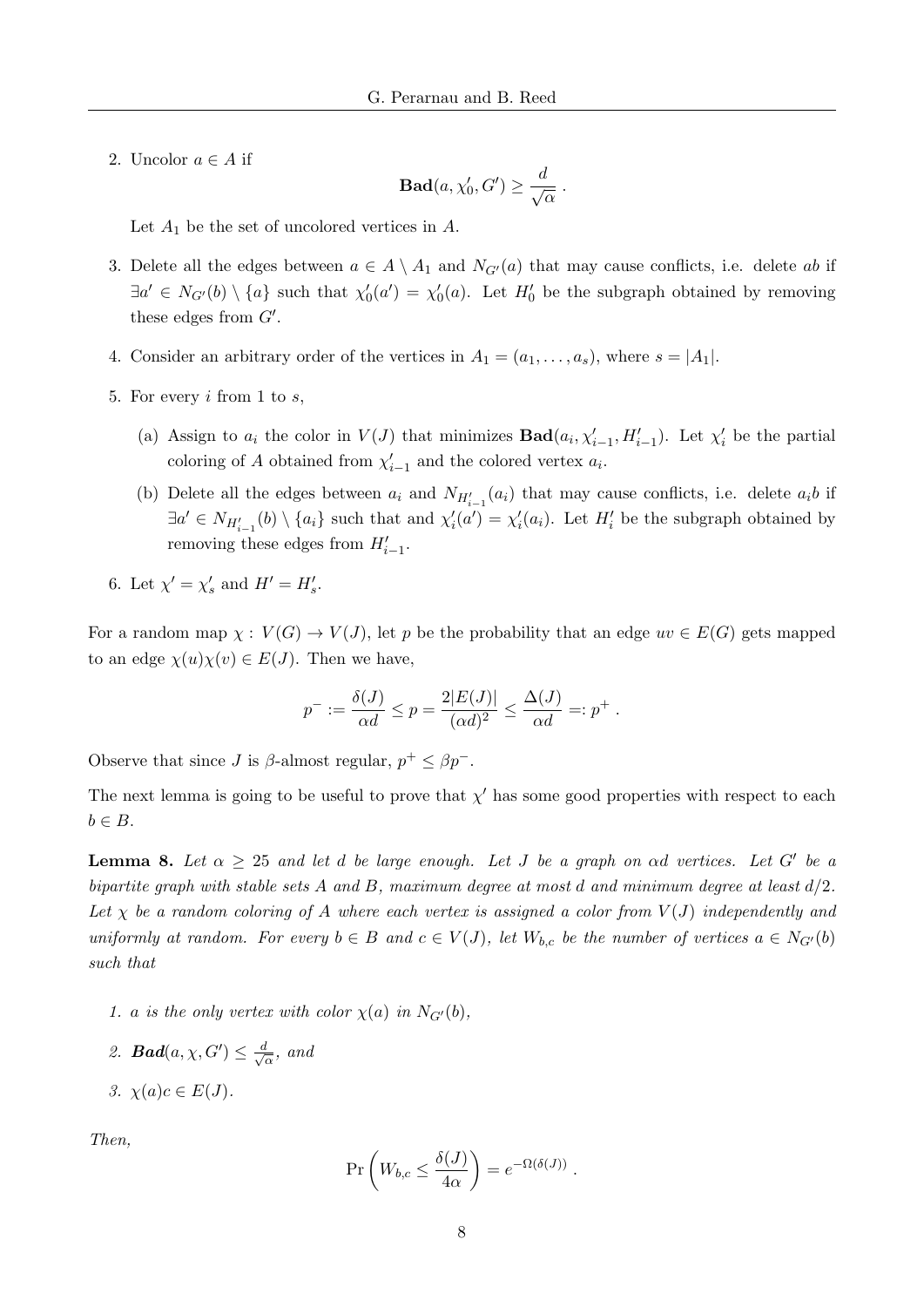2. Uncolor  $a \in A$  if

$$
\textbf{Bad}(a,\chi_0',G')\geq \frac{d}{\sqrt{\alpha}}\ .
$$

Let  $A_1$  be the set of uncolored vertices in  $A$ .

- 3. Delete all the edges between  $a \in A \setminus A_1$  and  $N_{G'}(a)$  that may cause conflicts, i.e. delete ab if  $\exists a' \in N_{G'}(b) \setminus \{a\}$  such that  $\chi'_0(a') = \chi'_0(a)$ . Let  $H'_0$  be the subgraph obtained by removing these edges from  $G'$ .
- 4. Consider an arbitrary order of the vertices in  $A_1 = (a_1, \ldots, a_s)$ , where  $s = |A_1|$ .
- 5. For every i from 1 to s,
	- (a) Assign to  $a_i$  the color in  $V(J)$  that minimizes  $\text{Bad}(a_i, \chi'_{i-1}, H'_{i-1})$ . Let  $\chi'_i$  be the partial coloring of A obtained from  $\chi'_{i-1}$  and the colored vertex  $a_i$ .
	- (b) Delete all the edges between  $a_i$  and  $N_{H'_{i-1}}(a_i)$  that may cause conflicts, i.e. delete  $a_i b$  if  $\exists a' \in N_{H'_{i-1}}(b) \setminus \{a_i\}$  such that and  $\chi'_i(a') = \chi'_i(a_i)$ . Let  $H'_i$  be the subgraph obtained by removing these edges from  $H'_{i-1}$ .
- 6. Let  $\chi' = \chi'_s$  and  $H' = H'_s$ .

For a random map  $\chi: V(G) \to V(J)$ , let p be the probability that an edge  $uv \in E(G)$  gets mapped to an edge  $\chi(u)\chi(v) \in E(J)$ . Then we have,

$$
p^- := \frac{\delta(J)}{\alpha d} \le p = \frac{2|E(J)|}{(\alpha d)^2} \le \frac{\Delta(J)}{\alpha d} =: p^+.
$$

Observe that since *J* is  $\beta$ -almost regular,  $p^+ \leq \beta p^-$ .

The next lemma is going to be useful to prove that  $\chi'$  has some good properties with respect to each  $b \in B$ .

<span id="page-8-0"></span>**Lemma 8.** Let  $\alpha \geq 25$  and let d be large enough. Let J be a graph on  $\alpha d$  vertices. Let G' be a bipartite graph with stable sets A and B, maximum degree at most d and minimum degree at least  $d/2$ . Let  $\chi$  be a random coloring of A where each vertex is assigned a color from  $V(J)$  independently and uniformly at random. For every  $b \in B$  and  $c \in V(J)$ , let  $W_{b,c}$  be the number of vertices  $a \in N_{G'}(b)$ such that

- 1. a is the only vertex with color  $\chi(a)$  in  $N_{G'}(b)$ ,
- 2. **Bad** $(a, \chi, G') \leq \frac{d}{d}$  $\frac{d}{\alpha}$ , and
- 3.  $\chi(a)c \in E(J)$ .

Then,

$$
\Pr\left(W_{b,c} \le \frac{\delta(J)}{4\alpha}\right) = e^{-\Omega(\delta(J))}.
$$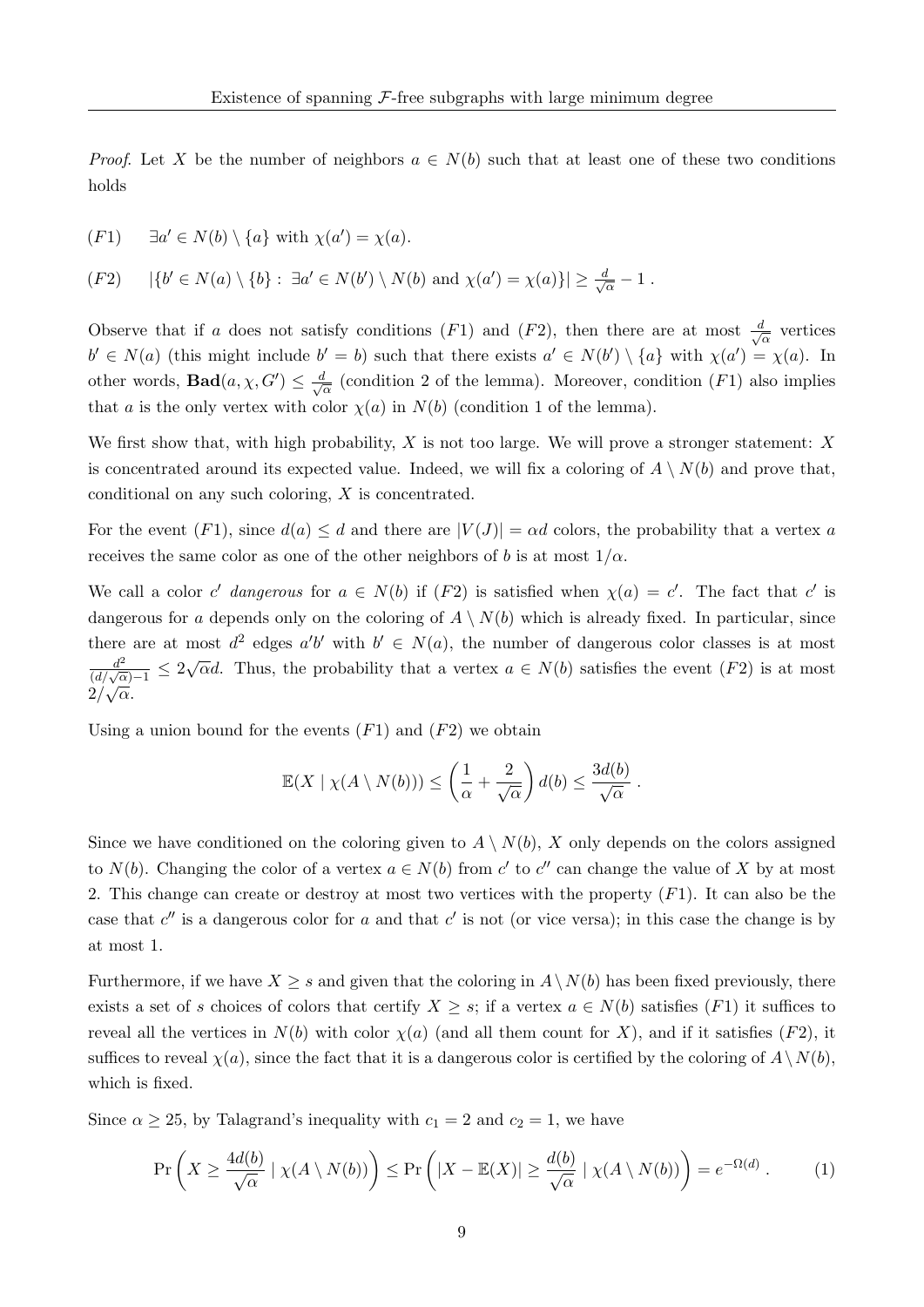*Proof.* Let X be the number of neighbors  $a \in N(b)$  such that at least one of these two conditions holds

(F1) 
$$
\exists a' \in N(b) \setminus \{a\}
$$
 with  $\chi(a') = \chi(a)$ .

 $(F2)$  $0' \in N(a) \setminus \{b\} : \exists a' \in N(b') \setminus N(b) \text{ and } \chi(a') = \chi(a)\} \geq \frac{d}{b'}$  $\frac{t}{\overline{\alpha}}-1$  .

Observe that if a does not satisfy conditions (F1) and (F2), then there are at most  $\frac{d}{d}$  $\frac{l}{\alpha}$  vertices  $b' \in N(a)$  (this might include  $b' = b$ ) such that there exists  $a' \in N(b') \setminus \{a\}$  with  $\chi(a') = \chi(a)$ . In other words, **Bad** $(a, \chi, G') \leq \frac{d}{d\chi}$  $\frac{l}{\alpha}$  (condition 2 of the lemma). Moreover, condition  $(F1)$  also implies that a is the only vertex with color  $\chi(a)$  in  $N(b)$  (condition 1 of the lemma).

We first show that, with high probability,  $X$  is not too large. We will prove a stronger statement:  $X$ is concentrated around its expected value. Indeed, we will fix a coloring of  $A \setminus N(b)$  and prove that, conditional on any such coloring, X is concentrated.

For the event  $(F1)$ , since  $d(a) \leq d$  and there are  $|V(J)| = \alpha d$  colors, the probability that a vertex a receives the same color as one of the other neighbors of b is at most  $1/\alpha$ .

We call a color c' dangerous for  $a \in N(b)$  if  $(F2)$  is satisfied when  $\chi(a) = c'$ . The fact that c' is dangerous for a depends only on the coloring of  $A \setminus N(b)$  which is already fixed. In particular, since there are at most  $d^2$  edges  $a'b'$  with  $b' \in N(a)$ , the number of dangerous color classes is at most  $\frac{d^2}{(d/\sqrt{\alpha})-1} \leq 2\sqrt{\alpha}d$ . Thus, the probability that a vertex  $a \in N(b)$  satisfies the event  $(F2)$  is at most  $2/\sqrt{\alpha}$ . √

Using a union bound for the events  $(F1)$  and  $(F2)$  we obtain

<span id="page-9-0"></span>
$$
\mathbb{E}(X \mid \chi(A \setminus N(b))) \leq \left(\frac{1}{\alpha} + \frac{2}{\sqrt{\alpha}}\right) d(b) \leq \frac{3d(b)}{\sqrt{\alpha}}.
$$

Since we have conditioned on the coloring given to  $A \setminus N(b)$ , X only depends on the colors assigned to  $N(b)$ . Changing the color of a vertex  $a \in N(b)$  from c' to c'' can change the value of X by at most 2. This change can create or destroy at most two vertices with the property  $(F1)$ . It can also be the case that  $c''$  is a dangerous color for a and that  $c'$  is not (or vice versa); in this case the change is by at most 1.

Furthermore, if we have  $X \geq s$  and given that the coloring in  $A \setminus N(b)$  has been fixed previously, there exists a set of s choices of colors that certify  $X \geq s$ ; if a vertex  $a \in N(b)$  satisfies  $(F1)$  it suffices to reveal all the vertices in  $N(b)$  with color  $\chi(a)$  (and all them count for X), and if it satisfies (F2), it suffices to reveal  $\chi(a)$ , since the fact that it is a dangerous color is certified by the coloring of  $A\setminus N(b)$ . which is fixed.

Since  $\alpha \geq 25$ , by Talagrand's inequality with  $c_1 = 2$  and  $c_2 = 1$ , we have

$$
\Pr\left(X \ge \frac{4d(b)}{\sqrt{\alpha}} \mid \chi(A \setminus N(b))\right) \le \Pr\left(|X - \mathbb{E}(X)| \ge \frac{d(b)}{\sqrt{\alpha}} \mid \chi(A \setminus N(b))\right) = e^{-\Omega(d)}.
$$
 (1)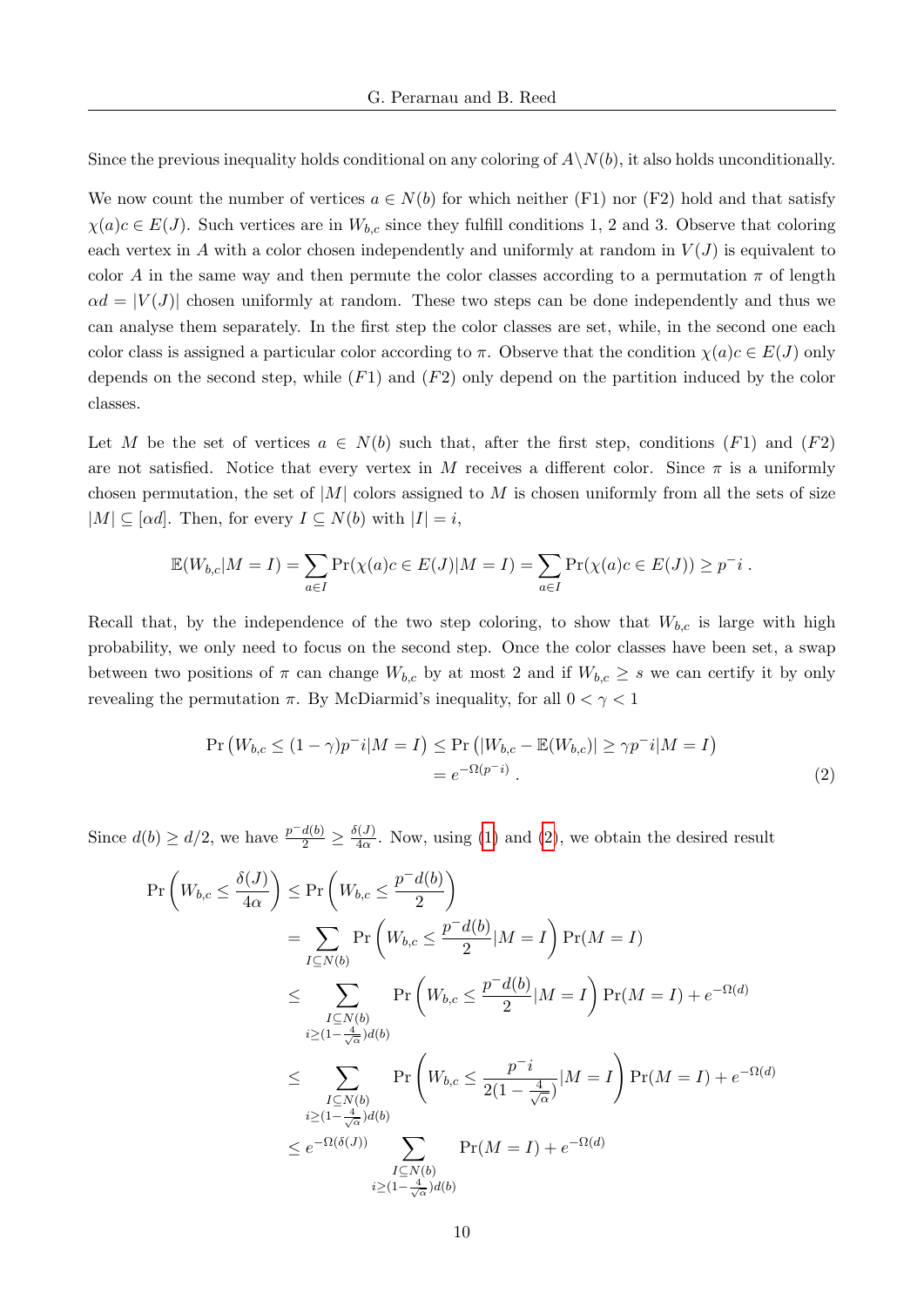Since the previous inequality holds conditional on any coloring of  $A\setminus N(b)$ , it also holds unconditionally.

We now count the number of vertices  $a \in N(b)$  for which neither (F1) nor (F2) hold and that satisfy  $\chi(a)c \in E(J)$ . Such vertices are in  $W_{b,c}$  since they fulfill conditions 1, 2 and 3. Observe that coloring each vertex in A with a color chosen independently and uniformly at random in  $V(J)$  is equivalent to color A in the same way and then permute the color classes according to a permutation  $\pi$  of length  $\alpha d = |V(J)|$  chosen uniformly at random. These two steps can be done independently and thus we can analyse them separately. In the first step the color classes are set, while, in the second one each color class is assigned a particular color according to  $\pi$ . Observe that the condition  $\chi(a)c \in E(J)$  only depends on the second step, while  $(F1)$  and  $(F2)$  only depend on the partition induced by the color classes.

Let M be the set of vertices  $a \in N(b)$  such that, after the first step, conditions  $(F1)$  and  $(F2)$ are not satisfied. Notice that every vertex in M receives a different color. Since  $\pi$  is a uniformly chosen permutation, the set of  $|M|$  colors assigned to M is chosen uniformly from all the sets of size  $|M| \subseteq [\alpha d]$ . Then, for every  $I \subseteq N(b)$  with  $|I| = i$ ,

$$
\mathbb{E}(W_{b,c}|M=I) = \sum_{a \in I} \Pr(\chi(a)c \in E(J)|M=I) = \sum_{a \in I} \Pr(\chi(a)c \in E(J)) \ge p^{-}i.
$$

Recall that, by the independence of the two step coloring, to show that  $W_{b,c}$  is large with high probability, we only need to focus on the second step. Once the color classes have been set, a swap between two positions of  $\pi$  can change  $W_{b,c}$  by at most 2 and if  $W_{b,c} \geq s$  we can certify it by only revealing the permutation π. By McDiarmid's inequality, for all  $0 < \gamma < 1$ 

<span id="page-10-0"></span>
$$
\Pr\left(W_{b,c} \le (1-\gamma)p^{-i}|M=I\right) \le \Pr\left(|W_{b,c} - \mathbb{E}(W_{b,c})| \ge \gamma p^{-i}|M=I\right) \\
= e^{-\Omega(p^{-i})}.
$$
\n(2)

Since  $d(b) \ge d/2$ , we have  $\frac{p-d(b)}{2} \ge \frac{\delta(J)}{4\alpha}$  $\frac{d^{(1)}(J)}{d\alpha}$  $\frac{d^{(1)}(J)}{d\alpha}$  $\frac{d^{(1)}(J)}{d\alpha}$ . Now, using (1) and [\(2\)](#page-10-0), we obtain the desired result

$$
\Pr\left(W_{b,c} \leq \frac{\delta(J)}{4\alpha}\right) \leq \Pr\left(W_{b,c} \leq \frac{p^{-}d(b)}{2}\right)
$$
\n
$$
= \sum_{I \subseteq N(b)} \Pr\left(W_{b,c} \leq \frac{p^{-}d(b)}{2}|M=I\right) \Pr(M=I)
$$
\n
$$
\leq \sum_{\substack{I \subseteq N(b) \\ i \geq (1-\frac{4}{\sqrt{\alpha}})d(b)}} \Pr\left(W_{b,c} \leq \frac{p^{-}d(b)}{2}|M=I\right) \Pr(M=I) + e^{-\Omega(d)}
$$
\n
$$
\leq \sum_{\substack{I \subseteq N(b) \\ i \geq (1-\frac{4}{\sqrt{\alpha}})d(b)}} \Pr\left(W_{b,c} \leq \frac{p^{-}i}{2(1-\frac{4}{\sqrt{\alpha}})}|M=I\right) \Pr(M=I) + e^{-\Omega(d)}
$$
\n
$$
\leq e^{-\Omega(\delta(J))} \sum_{\substack{I \subseteq N(b) \\ i \geq (1-\frac{4}{\sqrt{\alpha}})d(b)}} \Pr(M=I) + e^{-\Omega(d)}
$$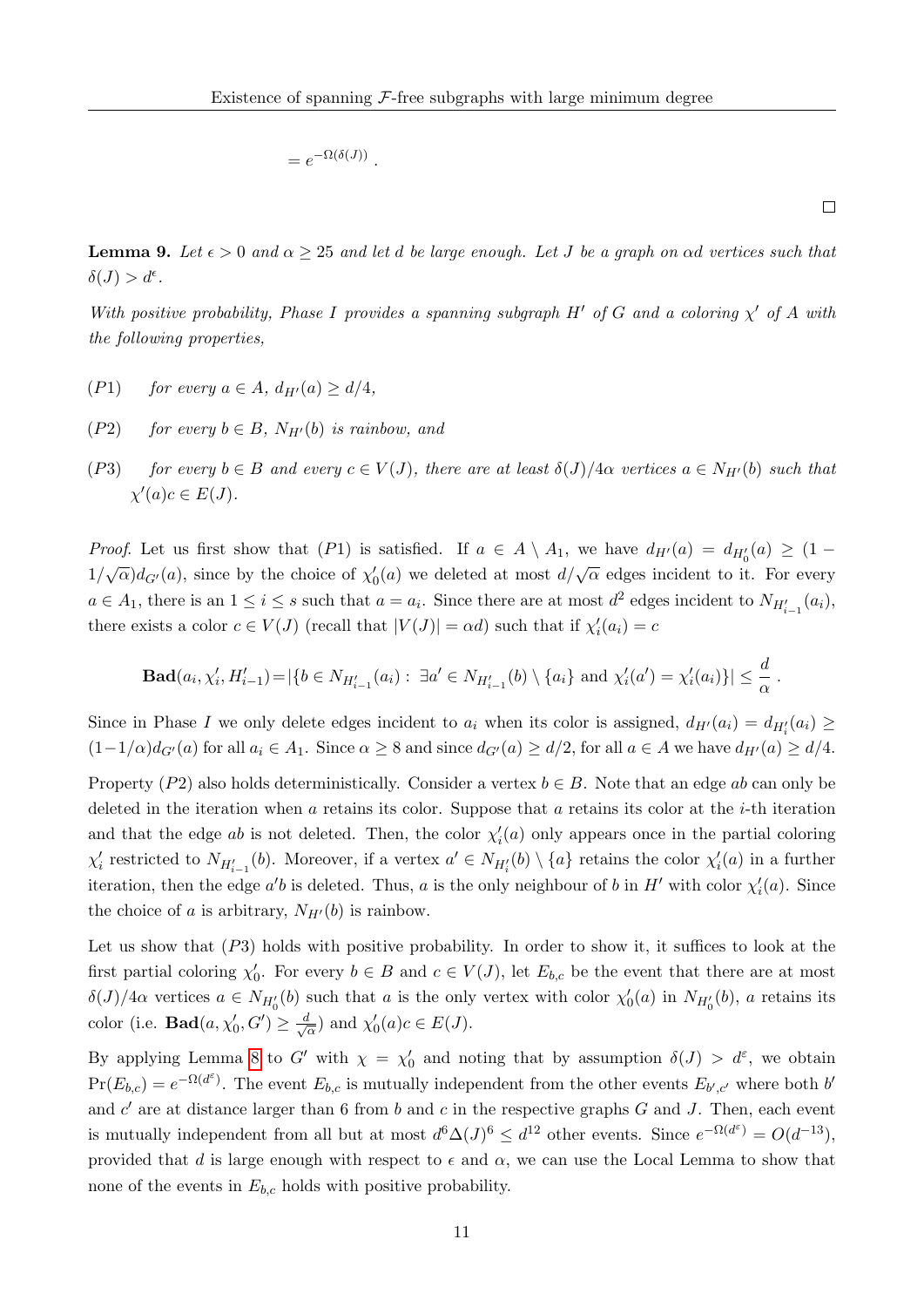$$
=e^{-\Omega(\delta(J))}
$$

.

 $\Box$ 

<span id="page-11-0"></span>**Lemma 9.** Let  $\epsilon > 0$  and  $\alpha \geq 25$  and let d be large enough. Let J be a graph on  $\alpha d$  vertices such that  $\delta(J) > d^{\epsilon}.$ 

With positive probability, Phase I provides a spanning subgraph H' of G and a coloring  $\chi'$  of A with the following properties,

- (P1) for every  $a \in A$ ,  $d_{H'}(a) \ge d/4$ .
- (P2) for every  $b \in B$ ,  $N_{H'}(b)$  is rainbow, and
- (P3) for every  $b \in B$  and every  $c \in V(J)$ , there are at least  $\delta(J)/4\alpha$  vertices  $a \in N_{H'}(b)$  such that  $\chi'(a)c \in E(J).$

*Proof.* Let us first show that (P1) is satisfied. If  $a \in A \setminus A_1$ , we have  $d_{H'}(a) = d_{H'_0}(a) \geq (1 - a)$  $1/\sqrt{\alpha}$ ) $d_{G'}(a)$ , since by the choice of  $\chi_0'(a)$  we deleted at most  $d/\sqrt{\alpha}$  edges incident to it. For every  $a \in A_1$ , there is an  $1 \leq i \leq s$  such that  $a = a_i$ . Since there are at most  $d^2$  edges incident to  $N_{H'_{i-1}}(a_i)$ , there exists a color  $c \in V(J)$  (recall that  $|V(J)| = \alpha d$ ) such that if  $\chi'_i(a_i) = c$ 

**Bad**
$$
(a_i, \chi'_i, H'_{i-1}) = |\{b \in N_{H'_{i-1}}(a_i) : \exists a' \in N_{H'_{i-1}}(b) \setminus \{a_i\} \text{ and } \chi'_i(a') = \chi'_i(a_i)\}| \leq \frac{d}{\alpha}.
$$

Since in Phase I we only delete edges incident to  $a_i$  when its color is assigned,  $d_{H'}(a_i) = d_{H'_i}(a_i) \ge$  $(1-1/\alpha)d_{G'}(a)$  for all  $a_i \in A_1$ . Since  $\alpha \geq 8$  and since  $d_{G'}(a) \geq d/2$ , for all  $a \in A$  we have  $d_{H'}(a) \geq d/4$ .

Property (P2) also holds deterministically. Consider a vertex  $b \in B$ . Note that an edge ab can only be deleted in the iteration when a retains its color. Suppose that a retains its color at the  $i$ -th iteration and that the edge ab is not deleted. Then, the color  $\chi'_{i}(a)$  only appears once in the partial coloring  $\chi'_i$  restricted to  $N_{H'_{i-1}}(b)$ . Moreover, if a vertex  $a' \in N_{H'_i}(b) \setminus \{a\}$  retains the color  $\chi'_i(a)$  in a further iteration, then the edge  $a'b$  is deleted. Thus, a is the only neighbour of b in H' with color  $\chi'_i(a)$ . Since the choice of a is arbitrary,  $N_{H'}(b)$  is rainbow.

Let us show that  $(P3)$  holds with positive probability. In order to show it, it suffices to look at the first partial coloring  $\chi'_0$ . For every  $b \in B$  and  $c \in V(J)$ , let  $E_{b,c}$  be the event that there are at most δ(J)/4α vertices  $a \in N_{H_0'}(b)$  such that a is the only vertex with color  $\chi_0'(a)$  in  $N_{H_0'}(b)$ , a retains its color (i.e.  $\text{Bad}(a, \chi'_0, G') \geq \frac{d}{\sqrt{d}}$  $\frac{d}{\overline{\alpha}}$ ) and  $\chi'_0(a)c \in E(J)$ .

By applying Lemma [8](#page-8-0) to G' with  $\chi = \chi'_{0}$  and noting that by assumption  $\delta(J) > d^{\varepsilon}$ , we obtain  $Pr(E_{b,c}) = e^{-\Omega(d^{\varepsilon})}$ . The event  $E_{b,c}$  is mutually independent from the other events  $E_{b',c'}$  where both  $b'$ and  $c'$  are at distance larger than 6 from b and c in the respective graphs G and J. Then, each event is mutually independent from all but at most  $d^6\Delta(J)^6 \leq d^{12}$  other events. Since  $e^{-\Omega(d^{\varepsilon})} = O(d^{-13})$ , provided that d is large enough with respect to  $\epsilon$  and  $\alpha$ , we can use the Local Lemma to show that none of the events in  $E_{b,c}$  holds with positive probability.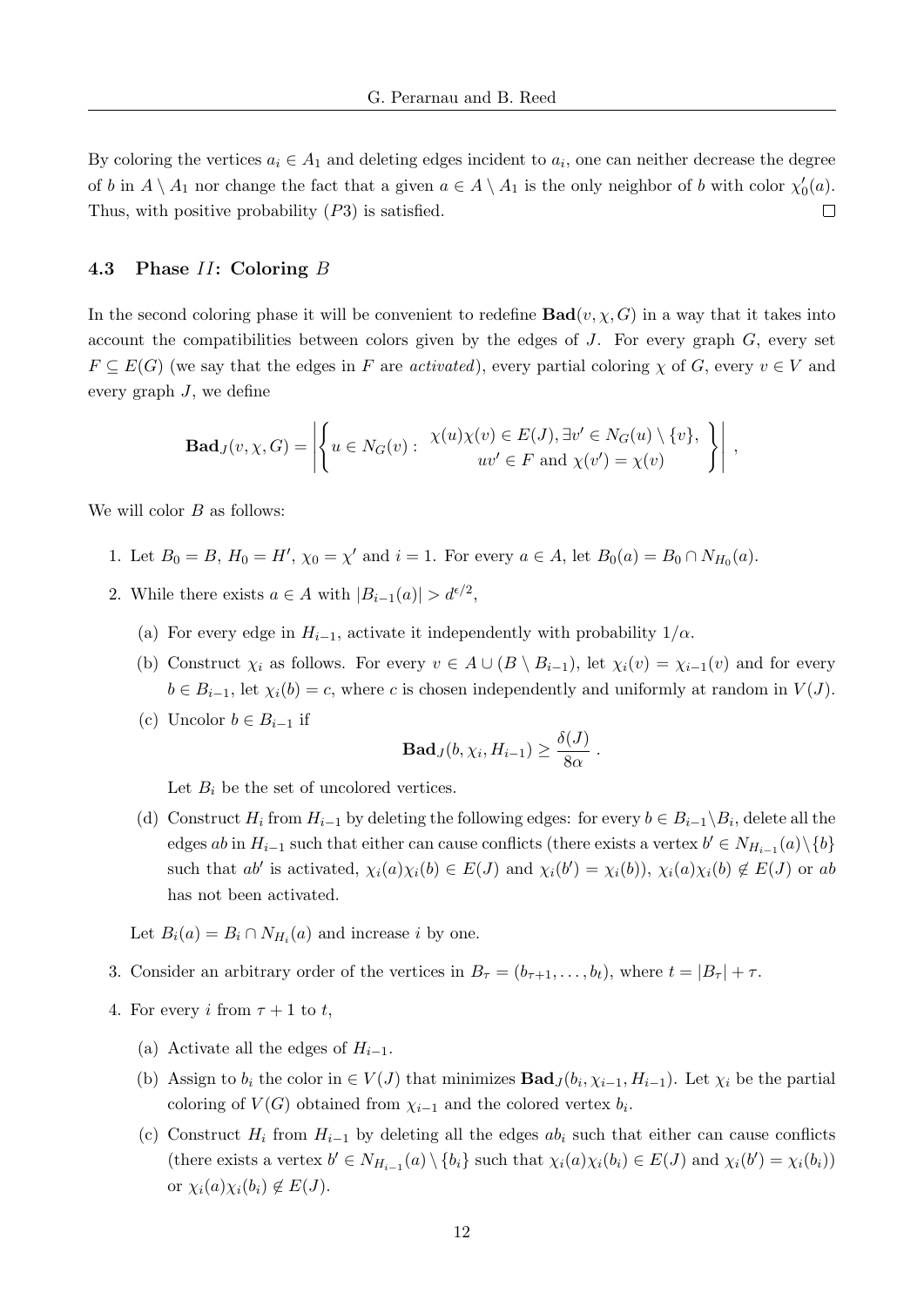By coloring the vertices  $a_i \in A_1$  and deleting edges incident to  $a_i$ , one can neither decrease the degree of b in  $A \setminus A_1$  nor change the fact that a given  $a \in A \setminus A_1$  is the only neighbor of b with color  $\chi'_0(a)$ . Thus, with positive probability (P3) is satisfied.  $\Box$ 

#### 4.3 Phase II: Coloring B

In the second coloring phase it will be convenient to redefine  $\text{Bad}(v, \chi, G)$  in a way that it takes into account the compatibilities between colors given by the edges of  $J$ . For every graph  $G$ , every set  $F \subseteq E(G)$  (we say that the edges in F are *activated*), every partial coloring  $\chi$  of G, every  $v \in V$  and every graph  $J$ , we define

$$
\mathbf{Bad}_{J}(v, \chi, G) = \left| \left\{ u \in N_G(v) : \begin{array}{c} \chi(u)\chi(v) \in E(J), \exists v' \in N_G(u) \setminus \{v\}, \\ uv' \in F \text{ and } \chi(v') = \chi(v) \end{array} \right\} \right| ,
$$

We will color  $B$  as follows:

- 1. Let  $B_0 = B$ ,  $H_0 = H'$ ,  $\chi_0 = \chi'$  and  $i = 1$ . For every  $a \in A$ , let  $B_0(a) = B_0 \cap N_{H_0}(a)$ .
- 2. While there exists  $a \in A$  with  $|B_{i-1}(a)| > d^{\epsilon/2}$ ,
	- (a) For every edge in  $H_{i-1}$ , activate it independently with probability  $1/\alpha$ .
	- (b) Construct  $\chi_i$  as follows. For every  $v \in A \cup (B \setminus B_{i-1})$ , let  $\chi_i(v) = \chi_{i-1}(v)$  and for every  $b \in B_{i-1}$ , let  $\chi_i(b) = c$ , where c is chosen independently and uniformly at random in  $V(J)$ .
	- (c) Uncolor  $b \in B_{i-1}$  if

$$
\mathbf{Bad}_{J}(b, \chi_{i}, H_{i-1}) \geq \frac{\delta(J)}{8\alpha}.
$$

Let  $B_i$  be the set of uncolored vertices.

(d) Construct  $H_i$  from  $H_{i-1}$  by deleting the following edges: for every  $b \in B_{i-1} \backslash B_i$ , delete all the edges ab in  $H_{i-1}$  such that either can cause conflicts (there exists a vertex  $b' \in N_{H_{i-1}}(a) \setminus \{b\}$ such that  $ab'$  is activated,  $\chi_i(a)\chi_i(b) \in E(J)$  and  $\chi_i(b') = \chi_i(b)$ ,  $\chi_i(a)\chi_i(b) \notin E(J)$  or ab has not been activated.

Let  $B_i(a) = B_i \cap N_{H_i}(a)$  and increase *i* by one.

- 3. Consider an arbitrary order of the vertices in  $B_{\tau} = (b_{\tau+1}, \ldots, b_t)$ , where  $t = |B_{\tau}| + \tau$ .
- 4. For every i from  $\tau + 1$  to t,
	- (a) Activate all the edges of  $H_{i-1}$ .
	- (b) Assign to  $b_i$  the color in  $\in V(J)$  that minimizes  $\mathbf{Bad}_{J}(b_i, \chi_{i-1}, H_{i-1})$ . Let  $\chi_i$  be the partial coloring of  $V(G)$  obtained from  $\chi_{i-1}$  and the colored vertex  $b_i$ .
	- (c) Construct  $H_i$  from  $H_{i-1}$  by deleting all the edges  $ab_i$  such that either can cause conflicts (there exists a vertex  $b' \in N_{H_{i-1}}(a) \setminus \{b_i\}$  such that  $\chi_i(a)\chi_i(b_i) \in E(J)$  and  $\chi_i(b') = \chi_i(b_i)$ ) or  $\chi_i(a)\chi_i(b_i) \notin E(J)$ .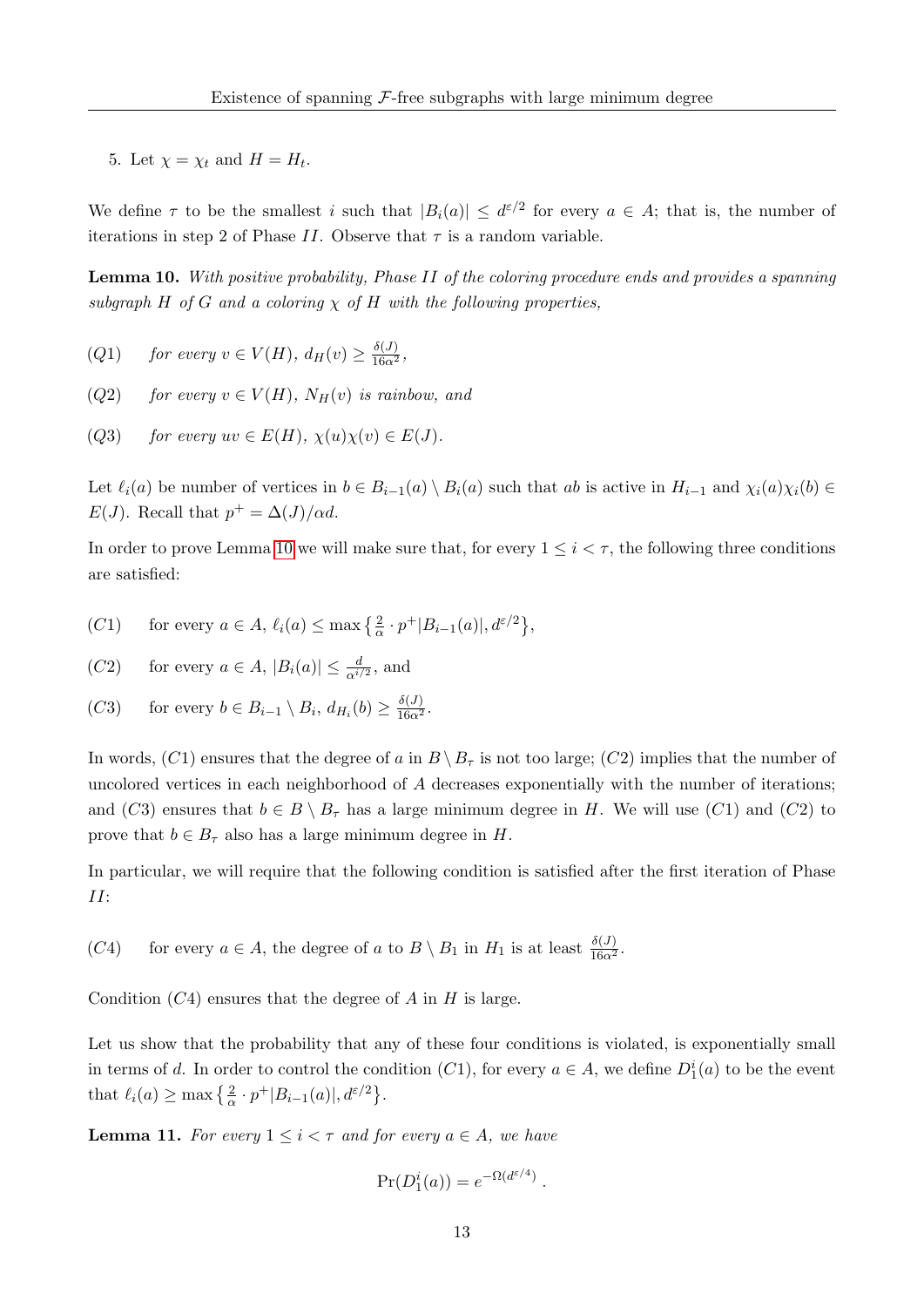5. Let  $\chi = \chi_t$  and  $H = H_t$ .

We define  $\tau$  to be the smallest i such that  $|B_i(a)| \leq d^{\varepsilon/2}$  for every  $a \in A$ ; that is, the number of iterations in step 2 of Phase II. Observe that  $\tau$  is a random variable.

<span id="page-13-0"></span>Lemma 10. With positive probability, Phase II of the coloring procedure ends and provides a spanning subgraph H of G and a coloring  $\chi$  of H with the following properties,

- (Q1) for every  $v \in V(H)$ ,  $d_H(v) \geq \frac{\delta(J)}{16\alpha^2}$ ,
- (Q2) for every  $v \in V(H)$ ,  $N_H(v)$  is rainbow, and
- (Q3) for every  $uv \in E(H)$ ,  $\chi(u)\chi(v) \in E(J)$ .

Let  $\ell_i(a)$  be number of vertices in  $b \in B_{i-1}(a) \setminus B_i(a)$  such that ab is active in  $H_{i-1}$  and  $\chi_i(a)\chi_i(b) \in$  $E(J)$ . Recall that  $p^+ = \Delta(J)/\alpha d$ .

In order to prove Lemma [10](#page-13-0) we will make sure that, for every  $1 \leq i \leq \tau$ , the following three conditions are satisfied:

- (C1) for every  $a \in A$ ,  $\ell_i(a) \leq \max\left\{ \frac{2}{\alpha} \cdot p^+ |B_{i-1}(a)|, d^{\varepsilon/2} \right\}$ ,
- (C2) for every  $a \in A$ ,  $|B_i(a)| \leq \frac{d}{\alpha^{i/2}}$ , and
- (C3) for every  $b \in B_{i-1} \setminus B_i$ ,  $d_{H_i}(b) \geq \frac{\delta(J)}{16\alpha^2}$ .

In words,  $(C1)$  ensures that the degree of a in  $B \setminus B_{\tau}$  is not too large;  $(C2)$  implies that the number of uncolored vertices in each neighborhood of  $A$  decreases exponentially with the number of iterations; and (C3) ensures that  $b \in B \setminus B_{\tau}$  has a large minimum degree in H. We will use (C1) and (C2) to prove that  $b \in B_{\tau}$  also has a large minimum degree in H.

In particular, we will require that the following condition is satisfied after the first iteration of Phase II:

(C4) for every  $a \in A$ , the degree of a to  $B \setminus B_1$  in  $H_1$  is at least  $\frac{\delta(J)}{16\alpha^2}$ .

Condition  $(C4)$  ensures that the degree of A in H is large.

Let us show that the probability that any of these four conditions is violated, is exponentially small in terms of d. In order to control the condition  $(C1)$ , for every  $a \in A$ , we define  $D_1^i(a)$  to be the event that  $\ell_i(a) \ge \max\left\{\frac{2}{\alpha} \cdot p^+|B_{i-1}(a)|, d^{\varepsilon/2}\right\}.$ 

<span id="page-13-1"></span>**Lemma 11.** For every  $1 \leq i \leq \tau$  and for every  $a \in A$ , we have

$$
\Pr(D_1^i(a)) = e^{-\Omega(d^{\varepsilon/4})}.
$$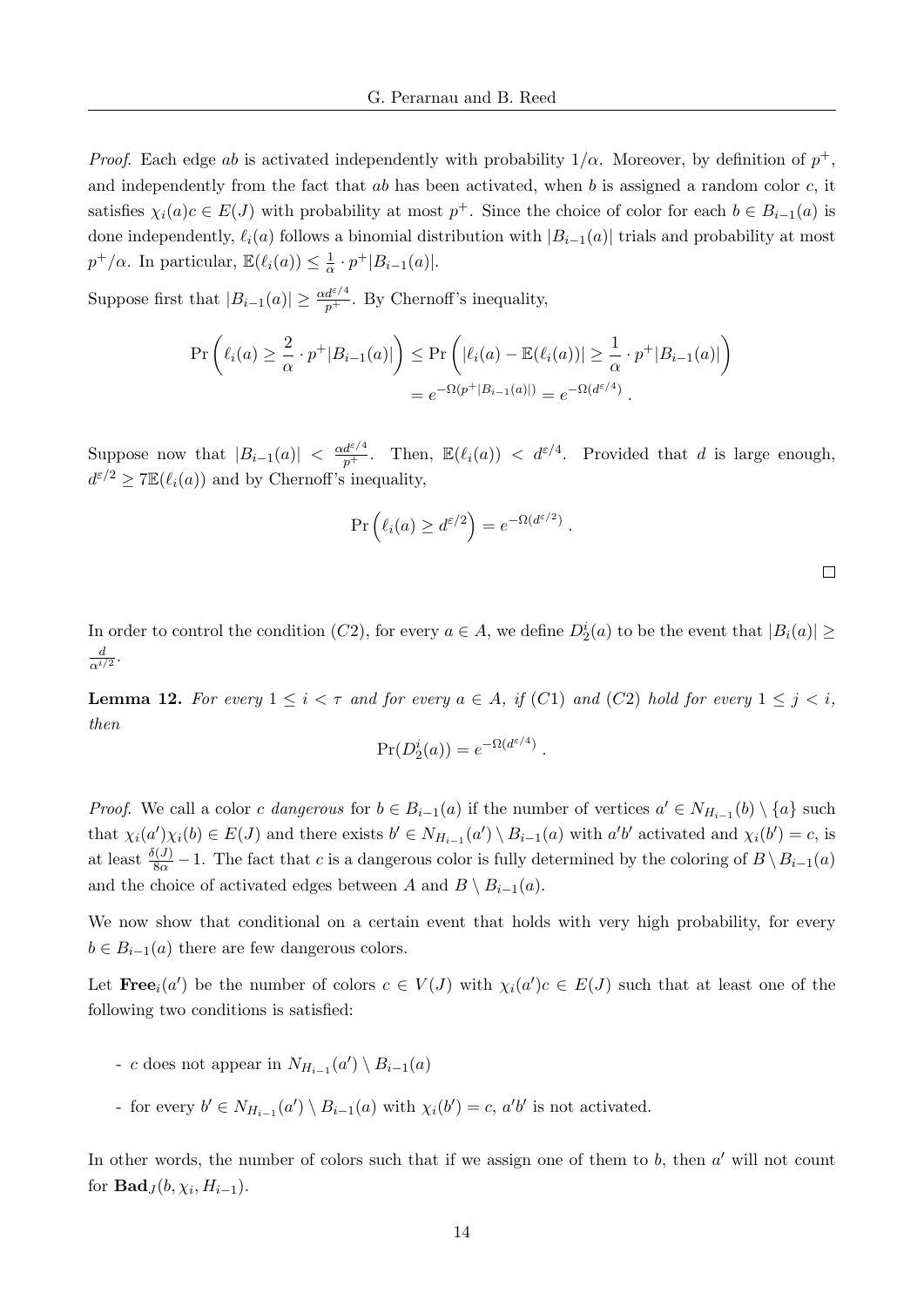*Proof.* Each edge ab is activated independently with probability  $1/\alpha$ . Moreover, by definition of  $p^+$ , and independently from the fact that  $ab$  has been activated, when  $b$  is assigned a random color  $c$ , it satisfies  $\chi_i(a)c \in E(J)$  with probability at most  $p^+$ . Since the choice of color for each  $b \in B_{i-1}(a)$  is done independently,  $\ell_i(a)$  follows a binomial distribution with  $|B_{i-1}(a)|$  trials and probability at most  $p^+/\alpha$ . In particular,  $\mathbb{E}(\ell_i(a)) \leq \frac{1}{\alpha}$  $\frac{1}{\alpha} \cdot p^+ |B_{i-1}(a)|.$ 

Suppose first that  $|B_{i-1}(a)| \geq \frac{\alpha d^{\varepsilon/4}}{p^+}$ . By Chernoff's inequality,

$$
\Pr\left(\ell_i(a) \ge \frac{2}{\alpha} \cdot p^+|B_{i-1}(a)|\right) \le \Pr\left(|\ell_i(a) - \mathbb{E}(\ell_i(a))| \ge \frac{1}{\alpha} \cdot p^+|B_{i-1}(a)|\right)
$$
  
=  $e^{-\Omega(p^+|B_{i-1}(a)|)} = e^{-\Omega(d^{\varepsilon/4})}.$ 

Suppose now that  $|B_{i-1}(a)| < \frac{\alpha d^{\varepsilon/4}}{p^+}$ . Then,  $\mathbb{E}(\ell_i(a)) < d^{\varepsilon/4}$ . Provided that d is large enough,  $d^{\varepsilon/2} \geq 7\mathbb{E}(\ell_i(a))$  and by Chernoff's inequality,

$$
\Pr\left(\ell_i(a) \geq d^{\epsilon/2}\right) = e^{-\Omega(d^{\epsilon/2})}.
$$

In order to control the condition  $(C2)$ , for every  $a \in A$ , we define  $D_2^i(a)$  to be the event that  $|B_i(a)| \ge$ d  $\frac{d}{\alpha^{i/2}}.$ 

<span id="page-14-0"></span>**Lemma 12.** For every  $1 \leq i < \tau$  and for every  $a \in A$ , if (C1) and (C2) hold for every  $1 \leq j < i$ , then

$$
\Pr(D_2^i(a)) = e^{-\Omega(d^{\varepsilon/4})}.
$$

*Proof.* We call a color c dangerous for  $b \in B_{i-1}(a)$  if the number of vertices  $a' \in N_{H_{i-1}}(b) \setminus \{a\}$  such that  $\chi_i(a')\chi_i(b) \in E(J)$  and there exists  $b' \in N_{H_{i-1}}(a') \setminus B_{i-1}(a)$  with  $a'b'$  activated and  $\chi_i(b') = c$ , is at least  $\frac{\delta(J)}{8\alpha} - 1$ . The fact that c is a dangerous color is fully determined by the coloring of  $B \setminus B_{i-1}(a)$ and the choice of activated edges between A and  $B \setminus B_{i-1}(a)$ .

We now show that conditional on a certain event that holds with very high probability, for every  $b \in B_{i-1}(a)$  there are few dangerous colors.

Let  $\textbf{Free}_i(a')$  be the number of colors  $c \in V(J)$  with  $\chi_i(a')c \in E(J)$  such that at least one of the following two conditions is satisfied:

- c does not appear in  $N_{H_{i-1}}(a') \setminus B_{i-1}(a)$
- for every  $b' \in N_{H_{i-1}}(a') \setminus B_{i-1}(a)$  with  $\chi_i(b') = c$ ,  $a'b'$  is not activated.

In other words, the number of colors such that if we assign one of them to  $b$ , then  $a'$  will not count for  $\mathbf{Bad}_{J}(b, \chi_i, H_{i-1}).$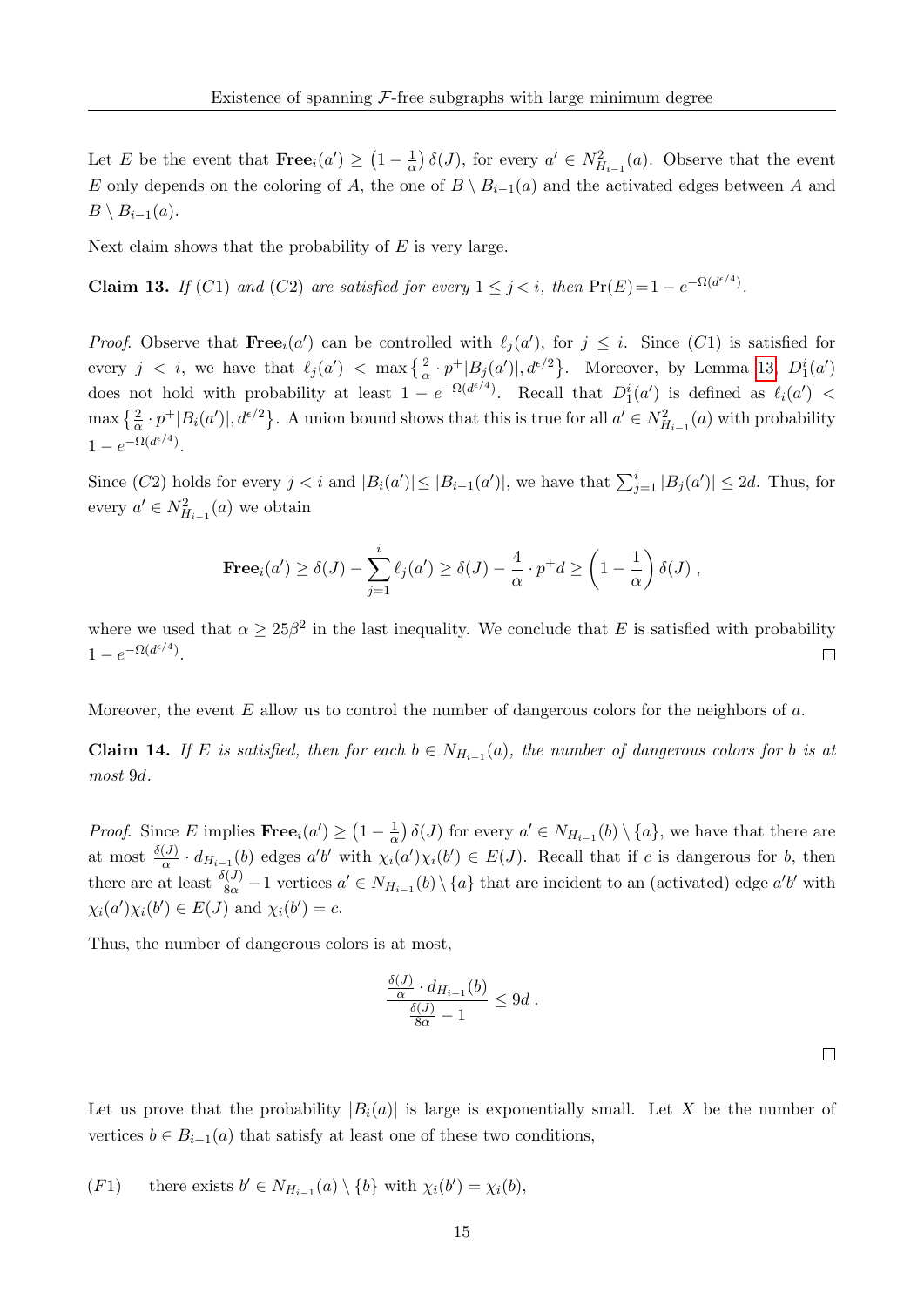Let E be the event that  $\textbf{Free}_i(a') \geq (1 - \frac{1}{\alpha})$  $\frac{1}{\alpha}$ )  $\delta(J)$ , for every  $a' \in N^2_{H_{i-1}}(a)$ . Observe that the event E only depends on the coloring of A, the one of  $B \setminus B_{i-1}(a)$  and the activated edges between A and  $B \setminus B_{i-1}(a)$ .

Next claim shows that the probability of  $E$  is very large.

<span id="page-15-0"></span>**Claim 13.** If (C1) and (C2) are satisfied for every  $1 \leq j \leq i$ , then  $Pr(E) = 1 - e^{-\Omega(d^{\epsilon/4})}$ .

*Proof.* Observe that  $\textbf{Free}_i(a')$  can be controlled with  $\ell_j(a')$ , for  $j \leq i$ . Since  $(C1)$  is satisfied for every  $j \leq i$ , we have that  $\ell_j(a') \leq \max\left\{\frac{2}{\alpha} \cdot p^+|B_j(a')|, d^{\epsilon/2}\right\}$ . Moreover, by Lemma [13,](#page-15-0)  $D_1^i(a')$ does not hold with probability at least  $1 - e^{-\Omega(d^{\epsilon/4})}$ . Recall that  $D_1^i(a')$  is defined as  $\ell_i(a')$  <  $\max\left\{\frac{2}{\alpha}\cdot p^+|B_i(a')|, d^{\epsilon/2}\right\}$ . A union bound shows that this is true for all  $a'\in N^2_{H_{i-1}}(a)$  with probability  $1-e^{-\Omega(d^{\epsilon/4})}.$ 

Since  $(C2)$  holds for every  $j < i$  and  $|B_i(a')| \leq |B_{i-1}(a')|$ , we have that  $\sum_{j=1}^i |B_j(a')| \leq 2d$ . Thus, for every  $a' \in N^2_{H_{i-1}}(a)$  we obtain

**Free**<sub>i</sub>(a') 
$$
\ge \delta(J) - \sum_{j=1}^{i} \ell_j(a') \ge \delta(J) - \frac{4}{\alpha} \cdot p^+d \ge \left(1 - \frac{1}{\alpha}\right) \delta(J)
$$
,

where we used that  $\alpha \geq 25\beta^2$  in the last inequality. We conclude that E is satisfied with probability  $1-e^{-\Omega(d^{\epsilon/4})}.$  $\Box$ 

Moreover, the event  $E$  allow us to control the number of dangerous colors for the neighbors of  $a$ .

<span id="page-15-1"></span>**Claim 14.** If E is satisfied, then for each  $b \in N_{H_{i-1}}(a)$ , the number of dangerous colors for b is at most 9d.

*Proof.* Since E implies  $\textbf{Free}_i(a') \geq (1 - \frac{1}{\alpha})$  $\frac{1}{\alpha}$ )  $\delta(J)$  for every  $a' \in N_{H_{i-1}}(b) \setminus \{a\}$ , we have that there are at most  $\frac{\delta(J)}{\alpha} \cdot d_{H_{i-1}}(b)$  edges  $a'b'$  with  $\chi_i(a')\chi_i(b') \in E(J)$ . Recall that if c is dangerous for b, then there are at least  $\frac{\delta(J)}{8\alpha} - 1$  vertices  $a' \in N_{H_{i-1}}(b) \setminus \{a\}$  that are incident to an (activated) edge  $a'b'$  with  $\chi_i(a')\chi_i(b') \in E(J)$  and  $\chi_i(b') = c$ .

Thus, the number of dangerous colors is at most,

$$
\frac{\frac{\delta(J)}{\alpha} \cdot d_{H_{i-1}}(b)}{\frac{\delta(J)}{8\alpha} - 1} \le 9d.
$$

Let us prove that the probability  $|B_i(a)|$  is large is exponentially small. Let X be the number of vertices  $b \in B_{i-1}(a)$  that satisfy at least one of these two conditions,

(F1) there exists  $b' \in N_{H_{i-1}}(a) \setminus \{b\}$  with  $\chi_i(b') = \chi_i(b)$ ,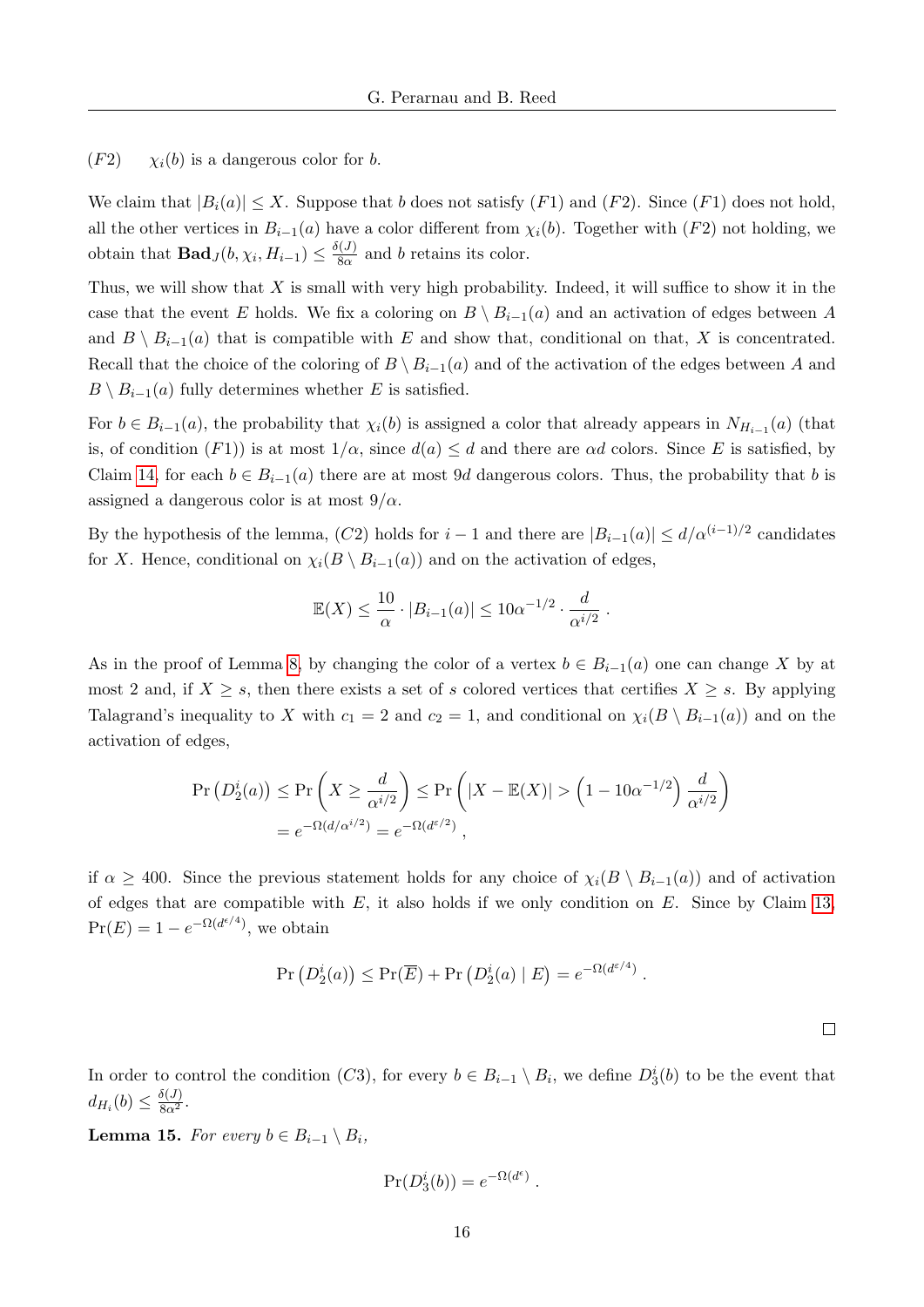$(F2)$   $\chi_i(b)$  is a dangerous color for b.

We claim that  $|B_i(a)| \leq X$ . Suppose that b does not satisfy  $(F1)$  and  $(F2)$ . Since  $(F1)$  does not hold. all the other vertices in  $B_{i-1}(a)$  have a color different from  $\chi_i(b)$ . Together with (F2) not holding, we obtain that **Bad**  $J(b, \chi_i, H_{i-1}) \leq \frac{\delta(J)}{8\alpha}$  $\frac{8a}{8a}$  and b retains its color.

Thus, we will show that  $X$  is small with very high probability. Indeed, it will suffice to show it in the case that the event E holds. We fix a coloring on  $B \setminus B_{i-1}(a)$  and an activation of edges between A and  $B \setminus B_{i-1}(a)$  that is compatible with E and show that, conditional on that, X is concentrated. Recall that the choice of the coloring of  $B \ B_{i-1}(a)$  and of the activation of the edges between A and  $B \setminus B_{i-1}(a)$  fully determines whether E is satisfied.

For  $b \in B_{i-1}(a)$ , the probability that  $\chi_i(b)$  is assigned a color that already appears in  $N_{H_{i-1}}(a)$  (that is, of condition  $(F1)$ ) is at most  $1/\alpha$ , since  $d(a) \leq d$  and there are  $\alpha d$  colors. Since E is satisfied, by Claim [14,](#page-15-1) for each  $b \in B_{i-1}(a)$  there are at most 9d dangerous colors. Thus, the probability that b is assigned a dangerous color is at most  $9/\alpha$ .

By the hypothesis of the lemma,  $(C2)$  holds for  $i-1$  and there are  $|B_{i-1}(a)| \le d/\alpha^{(i-1)/2}$  candidates for X. Hence, conditional on  $\chi_i(B \setminus B_{i-1}(a))$  and on the activation of edges,

$$
\mathbb{E}(X) \le \frac{10}{\alpha} \cdot |B_{i-1}(a)| \le 10\alpha^{-1/2} \cdot \frac{d}{\alpha^{i/2}}.
$$

As in the proof of Lemma [8,](#page-8-0) by changing the color of a vertex  $b \in B_{i-1}(a)$  one can change X by at most 2 and, if  $X \geq s$ , then there exists a set of s colored vertices that certifies  $X \geq s$ . By applying Talagrand's inequality to X with  $c_1 = 2$  and  $c_2 = 1$ , and conditional on  $\chi_i(B \setminus B_{i-1}(a))$  and on the activation of edges,

$$
\Pr(D_2^i(a)) \le \Pr\left(X \ge \frac{d}{\alpha^{i/2}}\right) \le \Pr\left(|X - \mathbb{E}(X)| > \left(1 - 10\alpha^{-1/2}\right)\frac{d}{\alpha^{i/2}}\right)
$$

$$
= e^{-\Omega(d/\alpha^{i/2})} = e^{-\Omega(d^{\varepsilon/2})},
$$

if  $\alpha \geq 400$ . Since the previous statement holds for any choice of  $\chi_i(B \setminus B_{i-1}(a))$  and of activation of edges that are compatible with  $E$ , it also holds if we only condition on  $E$ . Since by Claim [13,](#page-15-0)  $Pr(E) = 1 - e^{-\Omega(d^{\epsilon/4})}$ , we obtain

$$
\Pr(D_2^i(a)) \le \Pr(\overline{E}) + \Pr(D_2^i(a) | E) = e^{-\Omega(d^{\varepsilon/4})}.
$$

 $\Box$ 

In order to control the condition  $(C3)$ , for every  $b \in B_{i-1} \setminus B_i$ , we define  $D_3^i(b)$  to be the event that  $d_{H_i}(b) \leq \frac{\delta(J)}{8\alpha^2}.$ 

<span id="page-16-0"></span>**Lemma 15.** For every  $b \in B_{i-1} \setminus B_i$ ,

$$
\Pr(D_3^i(b)) = e^{-\Omega(d^{\epsilon})}.
$$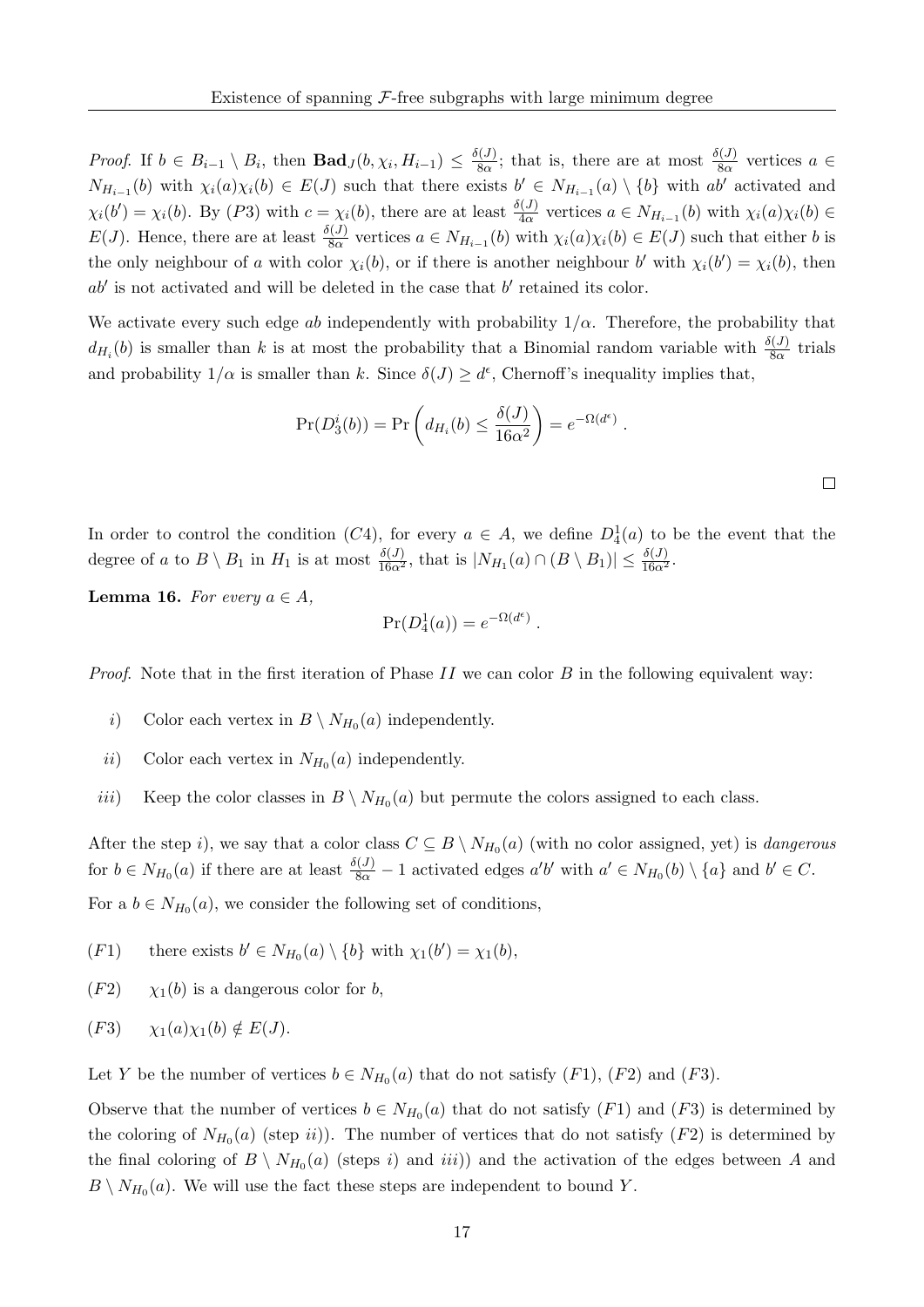*Proof.* If  $b \in B_{i-1} \setminus B_i$ , then  $\textbf{Bad}_J(b, \chi_i, H_{i-1}) \leq \frac{\delta(J)}{8\alpha}$  $\frac{\delta(J)}{8\alpha}$ ; that is, there are at most  $\frac{\delta(J)}{8\alpha}$  vertices  $a \in$  $N_{H_{i-1}}(b)$  with  $\chi_i(a)\chi_i(b) \in E(J)$  such that there exists  $b' \in N_{H_{i-1}}(a) \setminus \{b\}$  with  $ab'$  activated and  $\chi_i(b') = \chi_i(b)$ . By  $(P3)$  with  $c = \chi_i(b)$ , there are at least  $\frac{\delta(J)}{4\alpha}$  vertices  $a \in N_{H_{i-1}}(b)$  with  $\chi_i(a)\chi_i(b) \in$  $E(J)$ . Hence, there are at least  $\frac{\delta(J)}{8\alpha}$  vertices  $a \in N_{H_{i-1}}(b)$  with  $\chi_i(a)\chi_i(b) \in E(J)$  such that either b is the only neighbour of a with color  $\chi_i(b)$ , or if there is another neighbour b' with  $\chi_i(b') = \chi_i(b)$ , then  $ab'$  is not activated and will be deleted in the case that  $b'$  retained its color.

We activate every such edge ab independently with probability  $1/\alpha$ . Therefore, the probability that  $d_{H_i}(b)$  is smaller than k is at most the probability that a Binomial random variable with  $\frac{\delta(J)}{8\alpha}$  trials and probability  $1/\alpha$  is smaller than k. Since  $\delta(J) \geq d^{\epsilon}$ , Chernoff's inequality implies that,

$$
Pr(D_3^i(b)) = Pr\left(d_{H_i}(b) \le \frac{\delta(J)}{16\alpha^2}\right) = e^{-\Omega(d^{\epsilon})}.
$$

.

In order to control the condition  $(C4)$ , for every  $a \in A$ , we define  $D_4^1(a)$  to be the event that the degree of a to  $B \setminus B_1$  in  $H_1$  is at most  $\frac{\delta(J)}{16\alpha^2}$ , that is  $|N_{H_1}(a) \cap (B \setminus B_1)| \leq \frac{\delta(J)}{16\alpha^2}$ .

<span id="page-17-0"></span>**Lemma 16.** For every  $a \in A$ ,

$$
\Pr(D_4^1(a)) = e^{-\Omega(d^\epsilon)}
$$

*Proof.* Note that in the first iteration of Phase II we can color B in the following equivalent way:

- *i*) Color each vertex in  $B \setminus N_{H_0}(a)$  independently.
- ii) Color each vertex in  $N_{H_0}(a)$  independently.
- iii) Keep the color classes in  $B \setminus N_{H_0}(a)$  but permute the colors assigned to each class.

After the step i), we say that a color class  $C \subseteq B \setminus N_{H_0}(a)$  (with no color assigned, yet) is *dangerous* for  $b \in N_{H_0}(a)$  if there are at least  $\frac{\delta(J)}{8\alpha} - 1$  activated edges  $a'b'$  with  $a' \in N_{H_0}(b) \setminus \{a\}$  and  $b' \in C$ . For a  $b \in N_{H_0}(a)$ , we consider the following set of conditions,

- (F1) there exists  $b' \in N_{H_0}(a) \setminus \{b\}$  with  $\chi_1(b') = \chi_1(b)$ ,
- $(F2)$   $\chi_1(b)$  is a dangerous color for b,

$$
(F3) \qquad \chi_1(a)\chi_1(b) \notin E(J).
$$

Let Y be the number of vertices  $b \in N_{H_0}(a)$  that do not satisfy  $(F1)$ ,  $(F2)$  and  $(F3)$ .

Observe that the number of vertices  $b \in N_{H_0}(a)$  that do not satisfy  $(F1)$  and  $(F3)$  is determined by the coloring of  $N_{H_0}(a)$  (step ii)). The number of vertices that do not satisfy  $(F2)$  is determined by the final coloring of  $B \setminus N_{H_0}(a)$  (steps i) and iii)) and the activation of the edges between A and  $B \setminus N_{H_0}(a)$ . We will use the fact these steps are independent to bound Y.

 $\Box$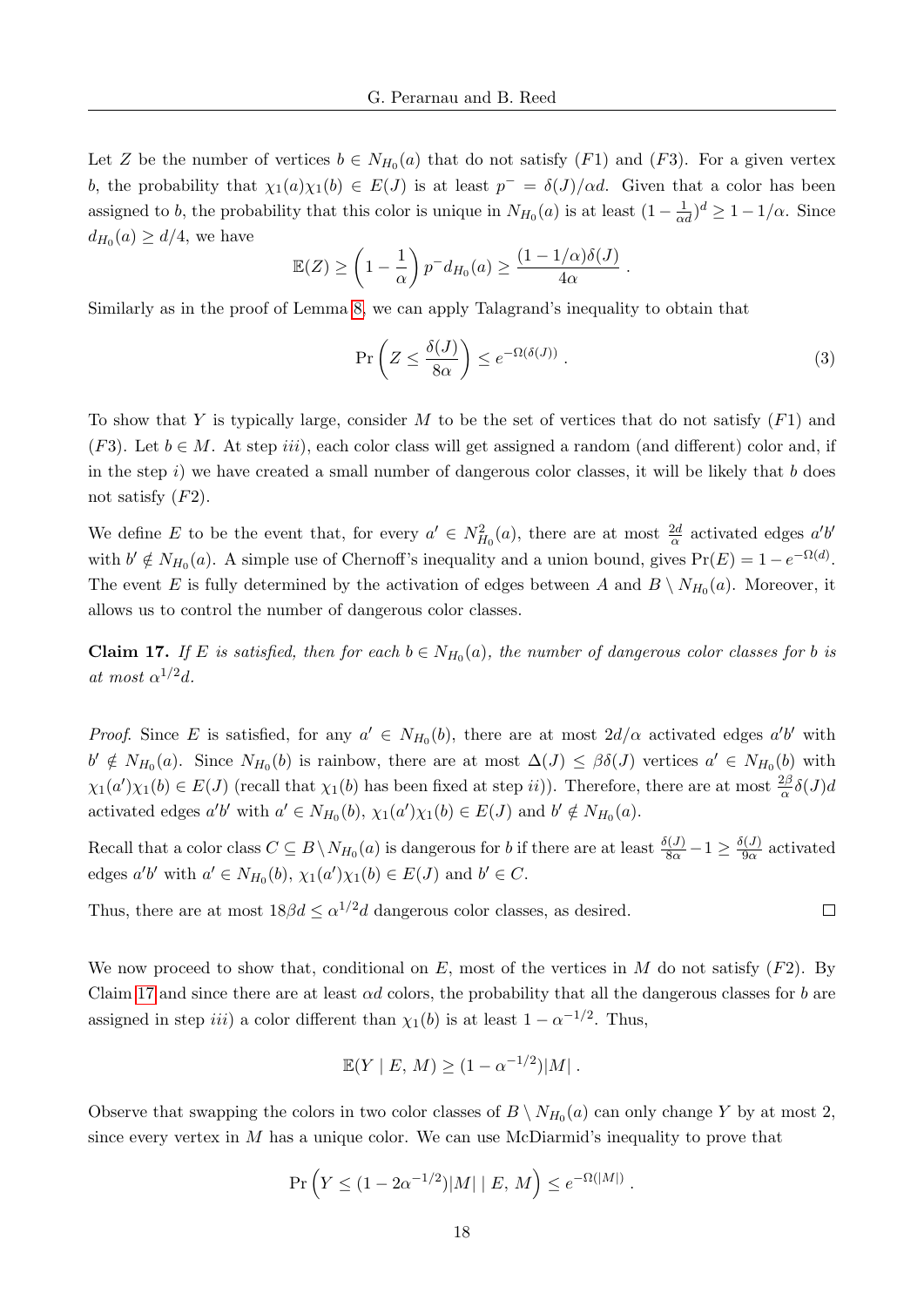Let Z be the number of vertices  $b \in N_{H_0}(a)$  that do not satisfy  $(F1)$  and  $(F3)$ . For a given vertex b, the probability that  $\chi_1(a)\chi_1(b) \in E(J)$  is at least  $p^- = \delta(J)/\alpha d$ . Given that a color has been assigned to b, the probability that this color is unique in  $N_{H_0}(a)$  is at least  $(1 - \frac{1}{\alpha d})^d \geq 1 - 1/\alpha$ . Since  $d_{H_0}(a) \geq d/4$ , we have

$$
\mathbb{E}(Z) \ge \left(1 - \frac{1}{\alpha}\right) p^{-} d_{H_0}(a) \ge \frac{(1 - 1/\alpha)\delta(J)}{4\alpha}
$$

Similarly as in the proof of Lemma [8,](#page-8-0) we can apply Talagrand's inequality to obtain that

$$
\Pr\left(Z \le \frac{\delta(J)}{8\alpha}\right) \le e^{-\Omega(\delta(J))} \,. \tag{3}
$$

<span id="page-18-1"></span>.

To show that Y is typically large, consider M to be the set of vertices that do not satisfy  $(F1)$  and (F3). Let  $b \in M$ . At step *iii*), each color class will get assigned a random (and different) color and, if in the step  $i$ ) we have created a small number of dangerous color classes, it will be likely that b does not satisfy  $(F2)$ .

We define E to be the event that, for every  $a' \in N_{H_0}^2(a)$ , there are at most  $\frac{2d}{\alpha}$  activated edges  $a'b'$ with  $b' \notin N_{H_0}(a)$ . A simple use of Chernoff's inequality and a union bound, gives  $Pr(E) = 1 - e^{-\Omega(d)}$ . The event E is fully determined by the activation of edges between A and  $B \setminus N_{H_0}(a)$ . Moreover, it allows us to control the number of dangerous color classes.

<span id="page-18-0"></span>**Claim 17.** If E is satisfied, then for each  $b \in N_{H_0}(a)$ , the number of dangerous color classes for b is at most  $\alpha^{1/2}d$ .

*Proof.* Since E is satisfied, for any  $a' \in N_{H_0}(b)$ , there are at most  $2d/\alpha$  activated edges  $a'b'$  with  $b' \notin N_{H_0}(a)$ . Since  $N_{H_0}(b)$  is rainbow, there are at most  $\Delta(J) \leq \beta \delta(J)$  vertices  $a' \in N_{H_0}(b)$  with  $\chi_1(a')\chi_1(b) \in E(J)$  (recall that  $\chi_1(b)$  has been fixed at step ii)). Therefore, there are at most  $\frac{2\beta}{\alpha}\delta(J)$ activated edges  $a'b'$  with  $a' \in N_{H_0}(b)$ ,  $\chi_1(a')\chi_1(b) \in E(J)$  and  $b' \notin N_{H_0}(a)$ .

Recall that a color class  $C \subseteq B \setminus N_{H_0}(a)$  is dangerous for b if there are at least  $\frac{\delta(J)}{8\alpha} - 1 \ge \frac{\delta(J)}{9\alpha}$  $rac{9\alpha}{9\alpha}$  activated edges  $a'b'$  with  $a' \in N_{H_0}(b)$ ,  $\chi_1(a')\chi_1(b) \in E(J)$  and  $b' \in C$ .

Thus, there are at most  $18\beta d \leq \alpha^{1/2}d$  dangerous color classes, as desired.

We now proceed to show that, conditional on  $E$ , most of the vertices in  $M$  do not satisfy  $(F2)$ . By Claim [17](#page-18-0) and since there are at least  $\alpha d$  colors, the probability that all the dangerous classes for b are assigned in step *iii*) a color different than  $\chi_1(b)$  is at least  $1 - \alpha^{-1/2}$ . Thus,

$$
\mathbb{E}(Y \mid E, M) \ge (1 - \alpha^{-1/2}) |M|.
$$

Observe that swapping the colors in two color classes of  $B \setminus N_{H_0}(a)$  can only change Y by at most 2, since every vertex in  $M$  has a unique color. We can use McDiarmid's inequality to prove that

$$
\Pr\left(Y \le (1 - 2\alpha^{-1/2})|M| \mid E, M\right) \le e^{-\Omega(|M|)}
$$

.

 $\Box$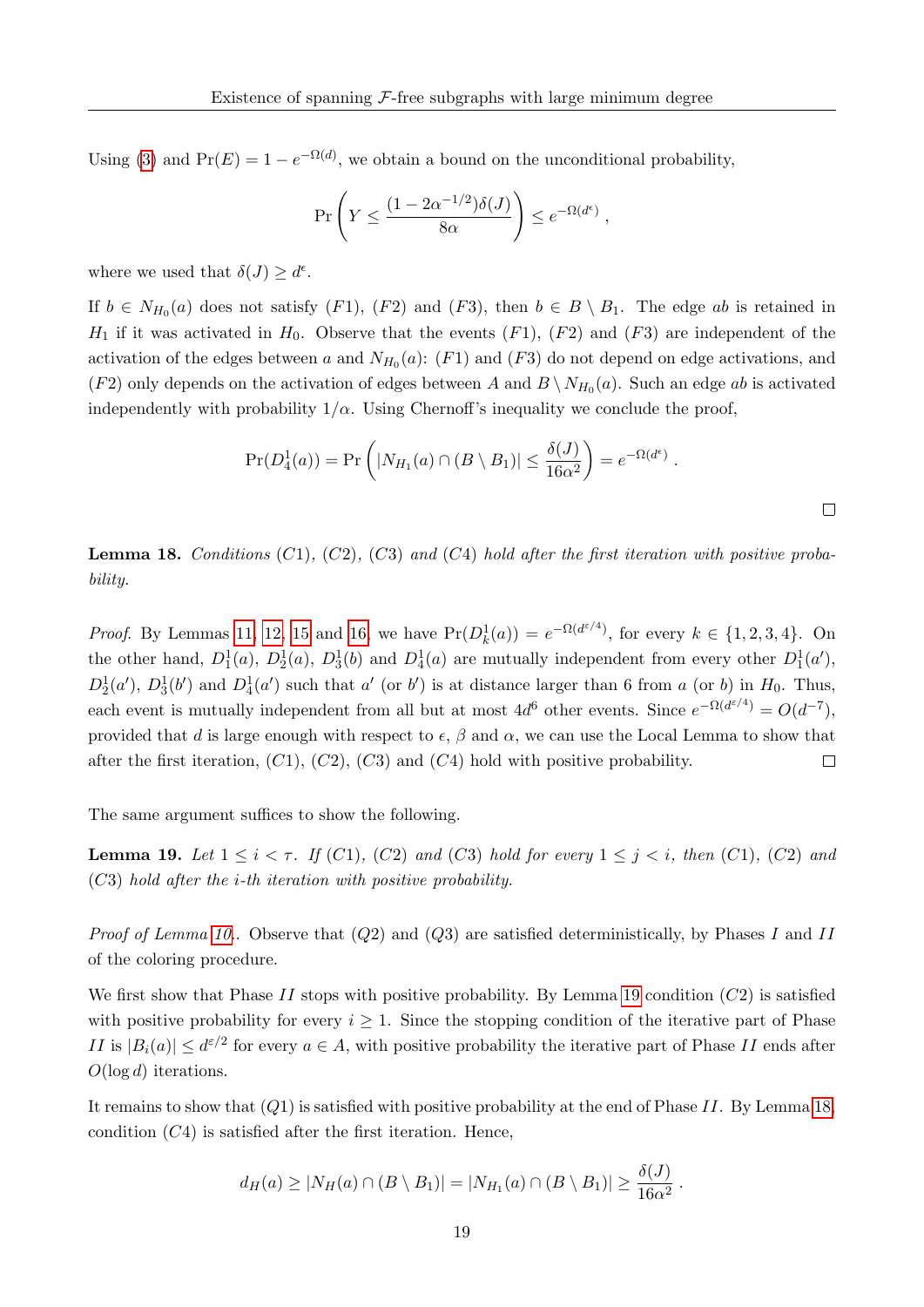Using [\(3\)](#page-18-1) and  $Pr(E) = 1 - e^{-\Omega(d)}$ , we obtain a bound on the unconditional probability,

$$
\Pr\left(Y \le \frac{(1 - 2\alpha^{-1/2})\delta(J)}{8\alpha}\right) \le e^{-\Omega(d^{\epsilon})},
$$

where we used that  $\delta(J) \geq d^{\epsilon}$ .

If  $b \in N_{H_0}(a)$  does not satisfy  $(F1)$ ,  $(F2)$  and  $(F3)$ , then  $b \in B \setminus B_1$ . The edge ab is retained in  $H_1$  if it was activated in  $H_0$ . Observe that the events  $(F1)$ ,  $(F2)$  and  $(F3)$  are independent of the activation of the edges between a and  $N_{H_0}(a)$ : (F1) and (F3) do not depend on edge activations, and  $(F2)$  only depends on the activation of edges between A and  $B \setminus N_{H_0}(a)$ . Such an edge ab is activated independently with probability  $1/\alpha$ . Using Chernoff's inequality we conclude the proof,

$$
Pr(D_4^1(a)) = Pr\left(|N_{H_1}(a) \cap (B \setminus B_1)| \leq \frac{\delta(J)}{16\alpha^2}\right) = e^{-\Omega(d^{\epsilon})}.
$$

<span id="page-19-1"></span>**Lemma 18.** Conditions  $(C1)$ ,  $(C2)$ ,  $(C3)$  and  $(C4)$  hold after the first iteration with positive probability.

*Proof.* By Lemmas [11,](#page-13-1) [12,](#page-14-0) [15](#page-16-0) and [16,](#page-17-0) we have  $Pr(D_k^1(a)) = e^{-\Omega(d^{\varepsilon/4})}$ , for every  $k \in \{1, 2, 3, 4\}$ . On the other hand,  $D_1^1(a)$ ,  $D_2^1(a)$ ,  $D_3^1(b)$  and  $D_4^1(a)$  are mutually independent from every other  $D_1^1(a')$ ,  $D_2^1(a')$ ,  $D_3^1(b')$  and  $D_4^1(a')$  such that a' (or b') is at distance larger than 6 from a (or b) in  $H_0$ . Thus, each event is mutually independent from all but at most  $4d^6$  other events. Since  $e^{-\Omega(d^{\varepsilon/4})} = O(d^{-7})$ , provided that d is large enough with respect to  $\epsilon$ ,  $\beta$  and  $\alpha$ , we can use the Local Lemma to show that after the first iteration,  $(C1)$ ,  $(C2)$ ,  $(C3)$  and  $(C4)$  hold with positive probability.  $\Box$ 

The same argument suffices to show the following.

<span id="page-19-0"></span>**Lemma 19.** Let  $1 \leq i < \tau$ . If (C1), (C2) and (C3) hold for every  $1 \leq j < i$ , then (C1), (C2) and (C3) hold after the i-th iteration with positive probability.

*Proof of Lemma [10.](#page-13-0).* Observe that  $(Q2)$  and  $(Q3)$  are satisfied deterministically, by Phases I and II of the coloring procedure.

We first show that Phase II stops with positive probability. By Lemma [19](#page-19-0) condition  $(C2)$  is satisfied with positive probability for every  $i \geq 1$ . Since the stopping condition of the iterative part of Phase II is  $|B_i(a)| \leq d^{\varepsilon/2}$  for every  $a \in A$ , with positive probability the iterative part of Phase II ends after  $O(\log d)$  iterations.

It remains to show that  $(Q1)$  is satisfied with positive probability at the end of Phase II. By Lemma [18,](#page-19-1) condition  $(C4)$  is satisfied after the first iteration. Hence,

$$
d_H(a) \geq |N_H(a) \cap (B \setminus B_1)| = |N_{H_1}(a) \cap (B \setminus B_1)| \geq \frac{\delta(J)}{16\alpha^2}.
$$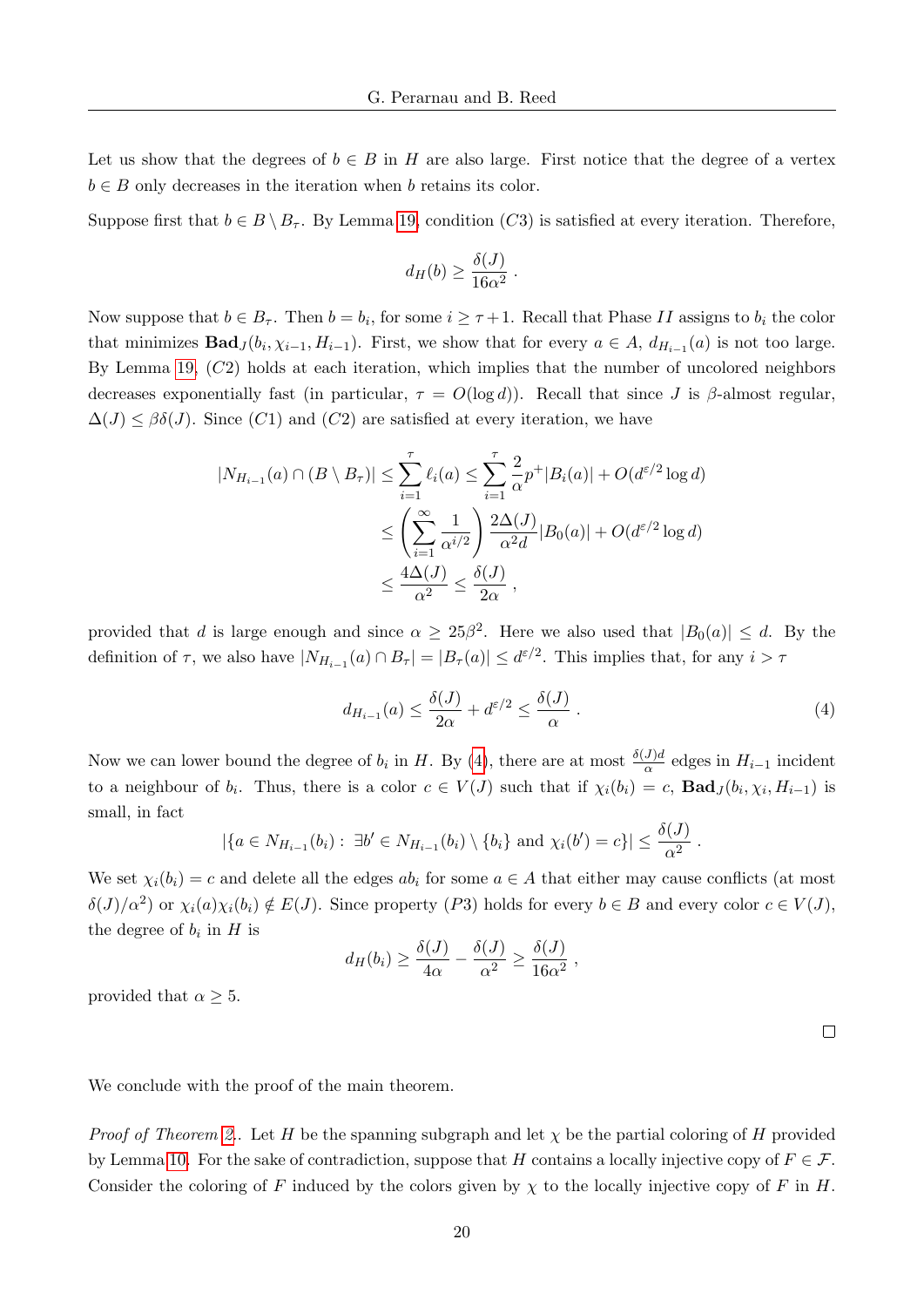Let us show that the degrees of  $b \in B$  in H are also large. First notice that the degree of a vertex  $b \in B$  only decreases in the iteration when b retains its color.

Suppose first that  $b \in B \setminus B_{\tau}$ . By Lemma [19,](#page-19-0) condition (C3) is satisfied at every iteration. Therefore,

$$
d_H(b) \ge \frac{\delta(J)}{16\alpha^2} .
$$

Now suppose that  $b \in B_{\tau}$ . Then  $b = b_i$ , for some  $i \geq \tau + 1$ . Recall that Phase II assigns to  $b_i$  the color that minimizes  $\text{Bad}_{J}(b_i, \chi_{i-1}, H_{i-1})$ . First, we show that for every  $a \in A$ ,  $d_{H_{i-1}}(a)$  is not too large. By Lemma [19,](#page-19-0)  $(C2)$  holds at each iteration, which implies that the number of uncolored neighbors decreases exponentially fast (in particular,  $\tau = O(\log d)$ ). Recall that since J is β-almost regular.  $\Delta(J) \leq \beta \delta(J)$ . Since (C1) and (C2) are satisfied at every iteration, we have

$$
|N_{H_{i-1}}(a) \cap (B \setminus B_{\tau})| \leq \sum_{i=1}^{\tau} \ell_i(a) \leq \sum_{i=1}^{\tau} \frac{2}{\alpha} p^+ |B_i(a)| + O(d^{\varepsilon/2} \log d)
$$
  

$$
\leq \left(\sum_{i=1}^{\infty} \frac{1}{\alpha^{i/2}}\right) \frac{2\Delta(J)}{\alpha^2 d} |B_0(a)| + O(d^{\varepsilon/2} \log d)
$$
  

$$
\leq \frac{4\Delta(J)}{\alpha^2} \leq \frac{\delta(J)}{2\alpha},
$$

provided that d is large enough and since  $\alpha \geq 25\beta^2$ . Here we also used that  $|B_0(a)| \leq d$ . By the definition of  $\tau$ , we also have  $|N_{H_{i-1}}(a) \cap B_{\tau}| = |B_{\tau}(a)| \leq d^{\varepsilon/2}$ . This implies that, for any  $i > \tau$ 

$$
d_{H_{i-1}}(a) \le \frac{\delta(J)}{2\alpha} + d^{\varepsilon/2} \le \frac{\delta(J)}{\alpha} \,. \tag{4}
$$

Now we can lower bound the degree of  $b_i$  in H. By [\(4\)](#page-20-0), there are at most  $\frac{\delta(J)d}{\alpha}$  edges in  $H_{i-1}$  incident to a neighbour of  $b_i$ . Thus, there is a color  $c \in V(J)$  such that if  $\chi_i(b_i) = c$ ,  $\text{Bad}_J(b_i, \chi_i, H_{i-1})$  is small, in fact

$$
|\{a \in N_{H_{i-1}}(b_i) : \exists b' \in N_{H_{i-1}}(b_i) \setminus \{b_i\} \text{ and } \chi_i(b') = c\}| \leq \frac{\delta(J)}{\alpha^2}.
$$

We set  $\chi_i(b_i) = c$  and delete all the edges  $ab_i$  for some  $a \in A$  that either may cause conflicts (at most  $\delta(J)/\alpha^2$  or  $\chi_i(a)\chi_i(b_i) \notin E(J)$ . Since property  $(P3)$  holds for every  $b \in B$  and every color  $c \in V(J)$ , the degree of  $b_i$  in  $H$  is

$$
d_H(b_i) \ge \frac{\delta(J)}{4\alpha} - \frac{\delta(J)}{\alpha^2} \ge \frac{\delta(J)}{16\alpha^2},
$$

provided that  $\alpha \geq 5$ .

<span id="page-20-0"></span> $\Box$ 

We conclude with the proof of the main theorem.

*Proof of Theorem [2.](#page-2-1).* Let H be the spanning subgraph and let  $\chi$  be the partial coloring of H provided by Lemma [10.](#page-13-0) For the sake of contradiction, suppose that H contains a locally injective copy of  $F \in \mathcal{F}$ . Consider the coloring of F induced by the colors given by  $\chi$  to the locally injective copy of F in H.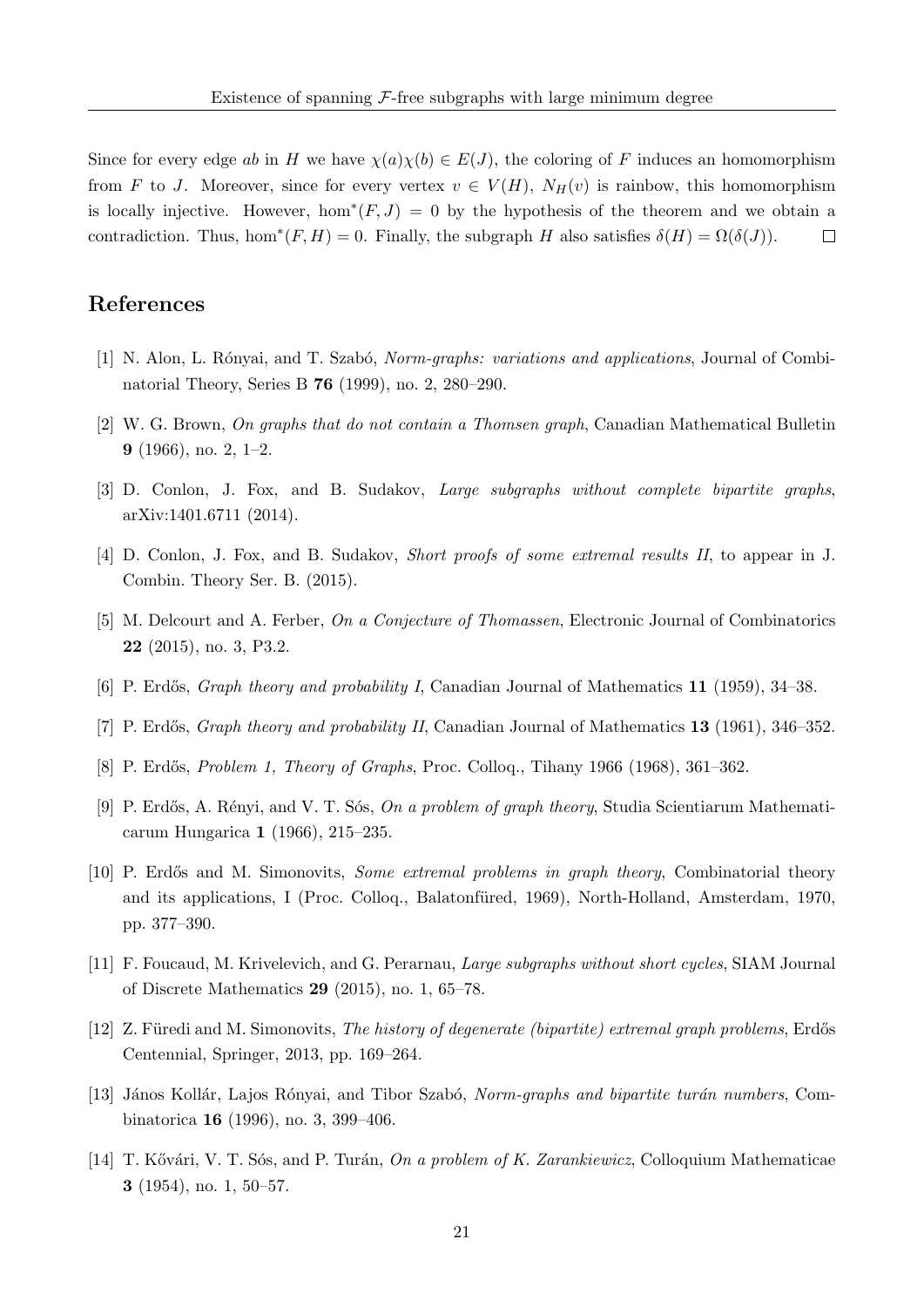Since for every edge ab in H we have  $\chi(a)\chi(b) \in E(J)$ , the coloring of F induces an homomorphism from F to J. Moreover, since for every vertex  $v \in V(H)$ ,  $N_H(v)$  is rainbow, this homomorphism is locally injective. However, hom<sup>\*</sup> $(F, J) = 0$  by the hypothesis of the theorem and we obtain a contradiction. Thus, hom<sup>\*</sup> $(F, H) = 0$ . Finally, the subgraph H also satisfies  $\delta(H) = \Omega(\delta(J))$ .  $\Box$ 

#### References

- <span id="page-21-6"></span>[1] N. Alon, L. Rónyai, and T. Szabó, *Norm-graphs: variations and applications*, Journal of Combinatorial Theory, Series B 76 (1999), no. 2, 280–290.
- <span id="page-21-3"></span>[2] W. G. Brown, On graphs that do not contain a Thomsen graph, Canadian Mathematical Bulletin 9 (1966), no. 2, 1–2.
- <span id="page-21-9"></span>[3] D. Conlon, J. Fox, and B. Sudakov, Large subgraphs without complete bipartite graphs, arXiv:1401.6711 (2014).
- <span id="page-21-10"></span>[4] D. Conlon, J. Fox, and B. Sudakov, Short proofs of some extremal results II, to appear in J. Combin. Theory Ser. B. (2015).
- <span id="page-21-11"></span>[5] M. Delcourt and A. Ferber, On a Conjecture of Thomassen, Electronic Journal of Combinatorics 22 (2015), no. 3, P3.2.
- <span id="page-21-12"></span>[6] P. Erdős, *Graph theory and probability I*, Canadian Journal of Mathematics 11 (1959), 34–38.
- <span id="page-21-13"></span>[7] P. Erdős, *Graph theory and probability II*, Canadian Journal of Mathematics 13 (1961), 346–352.
- <span id="page-21-8"></span>[8] P. Erdős, *Problem 1, Theory of Graphs*, Proc. Colloq., Tihany 1966 (1968), 361–362.
- <span id="page-21-2"></span>[9] P. Erdős, A. Rényi, and V. T. Sós, On a problem of graph theory, Studia Scientiarum Mathematicarum Hungarica 1 (1966), 215–235.
- <span id="page-21-7"></span>[10] P. Erdős and M. Simonovits, Some extremal problems in graph theory, Combinatorial theory and its applications, I (Proc. Colloq., Balatonfüred, 1969), North-Holland, Amsterdam, 1970, pp. 377–390.
- <span id="page-21-0"></span>[11] F. Foucaud, M. Krivelevich, and G. Perarnau, Large subgraphs without short cycles, SIAM Journal of Discrete Mathematics 29 (2015), no. 1, 65–78.
- <span id="page-21-1"></span>[12] Z. Füredi and M. Simonovits, The history of degenerate (bipartite) extremal graph problems, Erdős Centennial, Springer, 2013, pp. 169–264.
- <span id="page-21-5"></span>[13] János Kollár, Lajos Rónyai, and Tibor Szabó, Norm-graphs and bipartite turán numbers, Combinatorica 16 (1996), no. 3, 399–406.
- <span id="page-21-4"></span>[14] T. Kővári, V. T. Sós, and P. Turán, On a problem of K. Zarankiewicz, Colloquium Mathematicae 3 (1954), no. 1, 50–57.